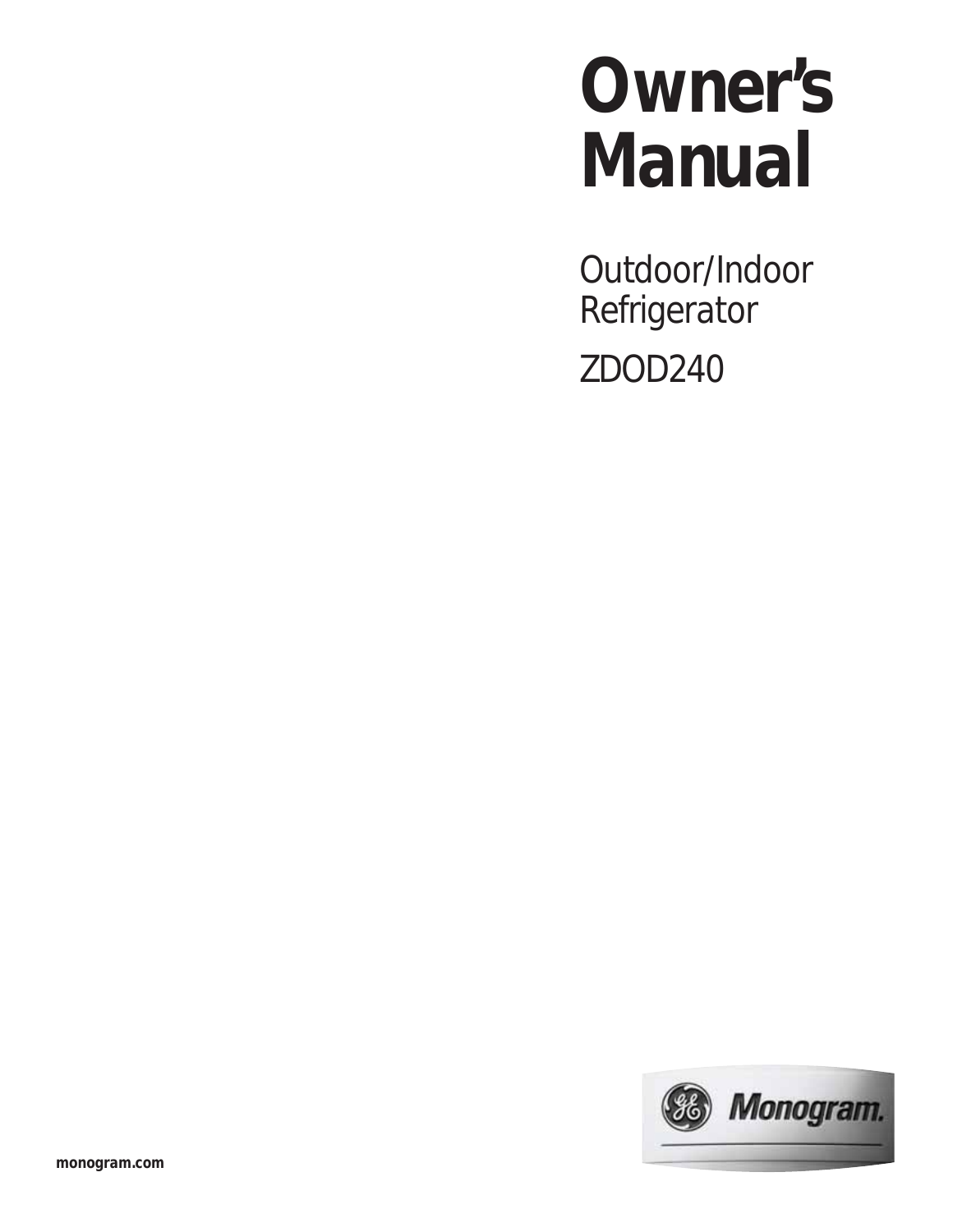# **Owner's Manual**

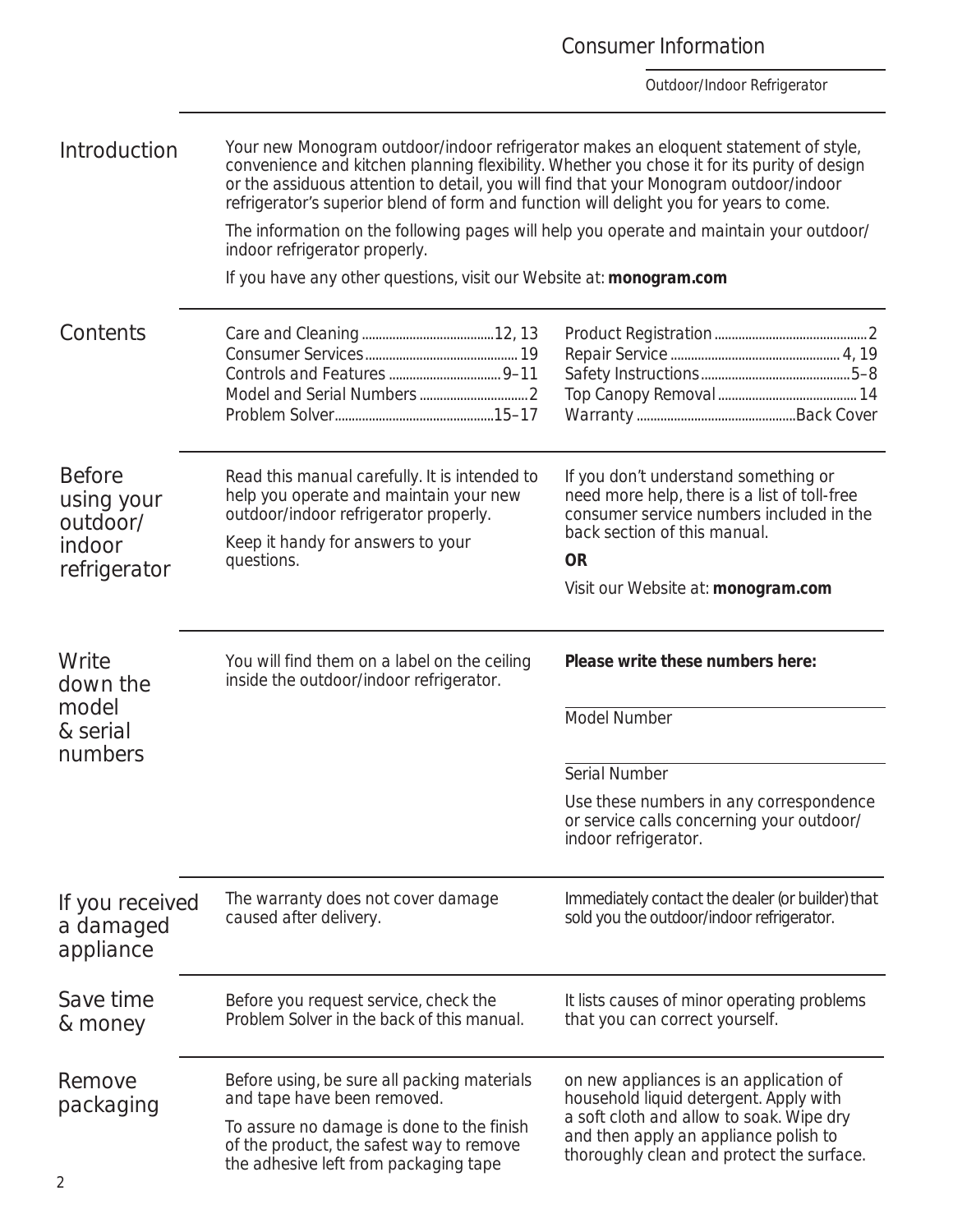### *If you received a damaged appliance* The warranty does not cover damage caused after delivery. Immediately contact the dealer (or builder) that sold you the outdoor/indoor refrigerator. *Introduction* Your new Monogram outdoor/indoor refrigerator makes an eloquent statement of style, convenience and kitchen planning flexibility. Whether you chose it for its purity of design or the assiduous attention to detail, you will find that your Monogram outdoor/indoor refrigerator's superior blend of form and function will delight you for years to come. The information on the following pages will help you operate and maintain your outdoor/ indoor refrigerator properly. If you have any other questions, visit our Website at: **monogram.com** *Contents* Care and Cleaning .......................................12, 13 Consumer Services ............................................. 19 Controls and Features ................................. 9–11 Model and Serial Numbers ................................2 Problem Solver ...............................................15–17 Product Registration .............................................2 Repair Service .................................................. 4, 19 Safety Instructions ............................................5–8 Top Canopy Removal ......................................... 14 Warranty ...............................................Back Cover *Before using your outdoor/ indoor refrigerator* Read this manual carefully. It is intended to help you operate and maintain your new outdoor/indoor refrigerator properly. Keep it handy for answers to your questions. If you don't understand something or need more help, there is a list of toll-free consumer service numbers included in the back section of this manual. **OR** Visit our Website at: **monogram.com** *Write down the model & serial numbers* You will find them on a label on the ceiling inside the outdoor/indoor refrigerator. **Please write these numbers here:** Model Number Serial Number Use these numbers in any correspondence or service calls concerning your outdoor/ indoor refrigerator. *Remove packaging* Before using, be sure all packing materials and tape have been removed. To assure no damage is done to the finish of the product, the safest way to remove on new appliances is an application of household liquid detergent. Apply with a soft cloth and allow to soak. Wipe dry and then apply an appliance polish to thoroughly clean and protect the surface. *Save time & money* Before you request service, check the Problem Solver in the back of this manual. It lists causes of minor operating problems that you can correct yourself.

the adhesive left from packaging tape

### Consumer Information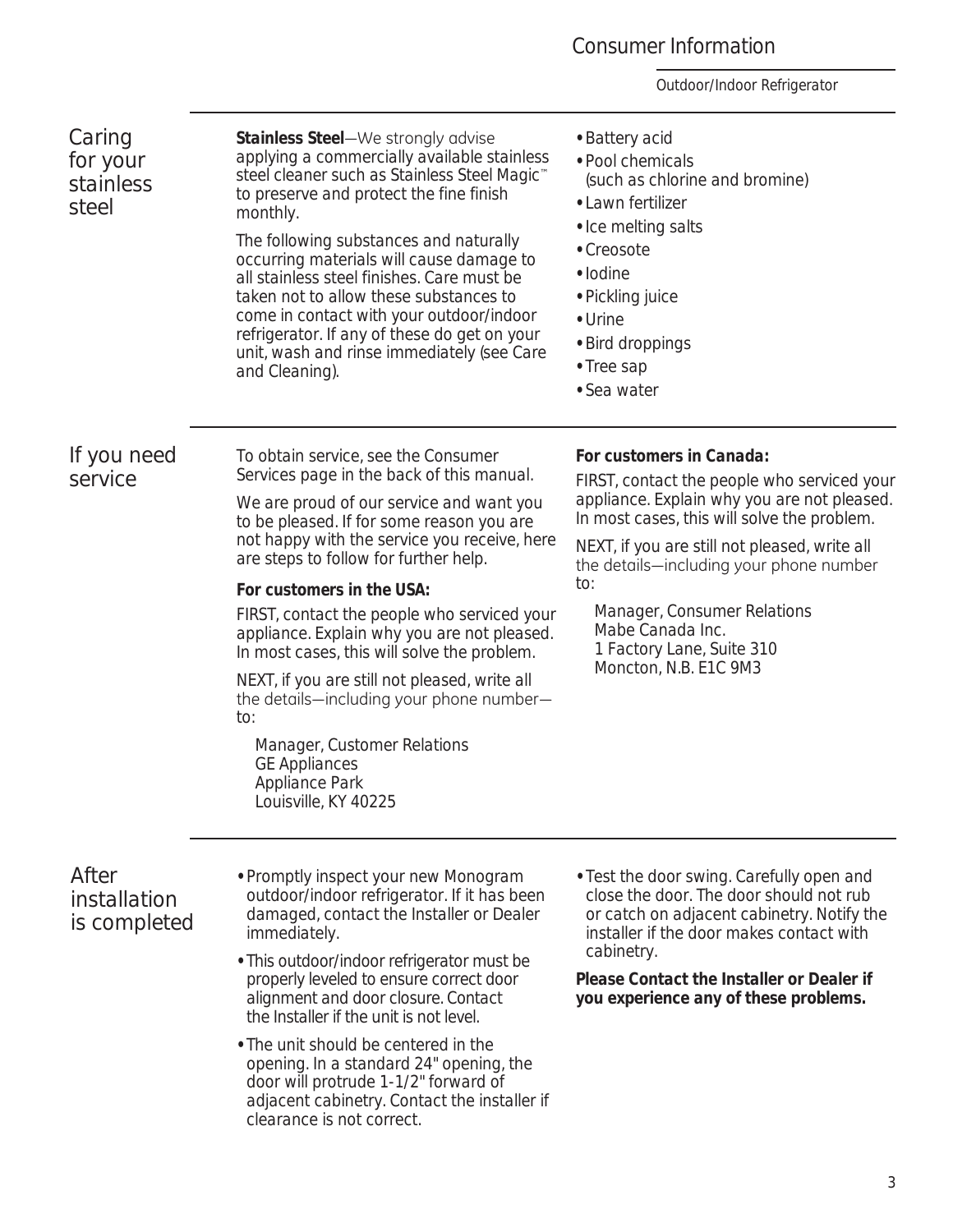### Consumer Information

| Caring<br>for your<br>stainless<br><i>steel</i> | Stainless Steel-We strongly advise<br>applying a commercially available stainless<br>steel cleaner such as Stainless Steel Magic <sup>™</sup><br>to preserve and protect the fine finish<br>monthly.<br>The following substances and naturally<br>occurring materials will cause damage to<br>all stainless steel finishes. Care must be<br>taken not to allow these substances to<br>come in contact with your outdoor/indoor<br>refrigerator. If any of these do get on your<br>unit, wash and rinse immediately (see Care<br>and Cleaning).                                                                                                    | • Battery acid<br>• Pool chemicals<br>(such as chlorine and bromine)<br>• Lawn fertilizer<br>• Ice melting salts<br>• Creosote<br>• Iodine<br>• Pickling juice<br>• Urine<br>• Bird droppings<br>• Tree sap<br>• Sea water                                                                                                                                                        |
|-------------------------------------------------|---------------------------------------------------------------------------------------------------------------------------------------------------------------------------------------------------------------------------------------------------------------------------------------------------------------------------------------------------------------------------------------------------------------------------------------------------------------------------------------------------------------------------------------------------------------------------------------------------------------------------------------------------|-----------------------------------------------------------------------------------------------------------------------------------------------------------------------------------------------------------------------------------------------------------------------------------------------------------------------------------------------------------------------------------|
| If you need<br>service                          | To obtain service, see the Consumer<br>Services page in the back of this manual.<br>We are proud of our service and want you<br>to be pleased. If for some reason you are<br>not happy with the service you receive, here<br>are steps to follow for further help.<br>For customers in the USA:<br>FIRST, contact the people who serviced your<br>appliance. Explain why you are not pleased.<br>In most cases, this will solve the problem.<br>NEXT, if you are still not pleased, write all<br>the details—including your phone number—<br>to:<br>Manager, Customer Relations<br><b>GE Appliances</b><br>Appliance Park<br>Louisville, KY 40225 | For customers in Canada:<br>FIRST, contact the people who serviced your<br>appliance. Explain why you are not pleased.<br>In most cases, this will solve the problem.<br>NEXT, if you are still not pleased, write all<br>the details—including your phone number<br>to:<br>Manager, Consumer Relations<br>Mabe Canada Inc.<br>1 Factory Lane, Suite 310<br>Moncton, N.B. E1C 9M3 |
| After<br>installation<br><i>is completed</i>    | • Promptly inspect your new Monogram<br>outdoor/indoor refrigerator. If it has been<br>damaged, contact the Installer or Dealer<br>immediately.<br>• This outdoor/indoor refrigerator must be<br>properly leveled to ensure correct door<br>alignment and door closure. Contact<br>the Installer if the unit is not level.<br>• The unit should be centered in the<br>opening. In a standard 24" opening, the<br>door will protrude 1-1/2" forward of<br>adjacent cabinetry. Contact the installer if<br>clearance is not correct.                                                                                                                | • Test the door swing. Carefully open and<br>close the door. The door should not rub<br>or catch on adjacent cabinetry. Notify the<br>installer if the door makes contact with<br>cabinetry.<br>Please Contact the Installer or Dealer if<br>you experience any of these problems.                                                                                                |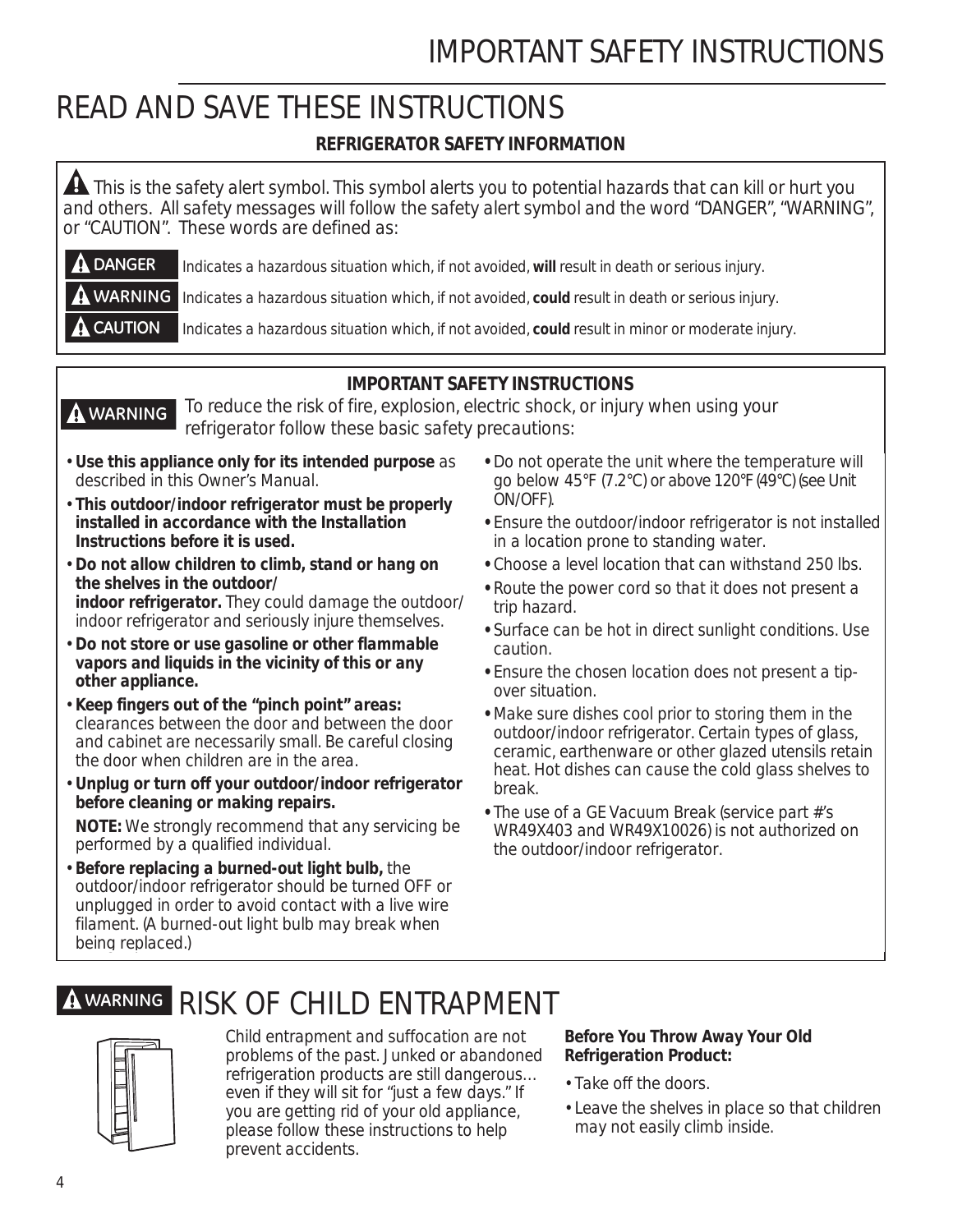## IMPORTANT SAFETY INSTRUCTIONS

## *READ AND SAVE THESE INSTRUCTIONS*

### **REFRIGERATOR SAFETY INFORMATION**

A This is the safety alert symbol. This symbol alerts you to potential hazards that can kill or hurt you and others. All safety messages will follow the safety alert symbol and the word "DANGER", "WARNING", or "CAUTION". These words are defined as:

 Indicates a hazardous situation which, if not avoided, **will** result in death or serious injury. **DANGER**

**A WARNING** Indicates a hazardous situation which, if not avoided, could result in death or serious injury.

 Indicates a hazardous situation which, if not avoided, **could** result in minor or moderate injury. **A** CAUTION

### **IMPORTANT SAFETY INSTRUCTIONS**

 To reduce the risk of fire, explosion, electric shock, or injury when using your refrigerator follow these basic safety precautions: **WARNING**

- **Use this appliance only for its intended purpose** as described in this Owner's Manual.
- **This outdoor/indoor refrigerator must be properly installed in accordance with the Installation Instructions before it is used.**
- **Do not allow children to climb, stand or hang on the shelves in the outdoor/ indoor refrigerator.** They could damage the outdoor/ indoor refrigerator and seriously injure themselves.
- **Do not store or use gasoline or other flammable vapors and liquids in the vicinity of this or any other appliance.**
- **Keep fingers out of the "pinch point" areas:**  clearances between the door and between the door and cabinet are necessarily small. Be careful closing the door when children are in the area.
- **Unplug or turn off your outdoor/indoor refrigerator before cleaning or making repairs.**

 **NOTE:** We strongly recommend that any servicing be performed by a qualified individual.

• **Before replacing a burned-out light bulb,** the outdoor/indoor refrigerator should be turned OFF or unplugged in order to avoid contact with a live wire filament. (A burned-out light bulb may break when being replaced.)

## **WARNING** *RISK OF CHILD ENTRAPMENT*

Child entrapment and suffocation are not problems of the past. Junked or abandoned refrigeration products are still dangerous… even if they will sit for "just a few days." If you are getting rid of your old appliance, please follow these instructions to help prevent accidents.

- **•** Do not operate the unit where the temperature will go below 45°F (7.2°C) or above 120°F (49°C) (see Unit ON/OFF).
- **•** Ensure the outdoor/indoor refrigerator is not installed in a location prone to standing water.
- **•** Choose a level location that can withstand 250 lbs.
- **•** Route the power cord so that it does not present a trip hazard.
- **•** Surface can be hot in direct sunlight conditions. Use caution.
- **•** Ensure the chosen location does not present a tipover situation.
- **•** Make sure dishes cool prior to storing them in the outdoor/indoor refrigerator. Certain types of glass, ceramic, earthenware or other glazed utensils retain heat. Hot dishes can cause the cold glass shelves to break.
- **•** The use of a GE Vacuum Break (service part #'s WR49X403 and WR49X10026) is not authorized on the outdoor/indoor refrigerator.

### **Before You Throw Away Your Old Refrigeration Product:**

- Take off the doors.
- Leave the shelves in place so that children may not easily climb inside.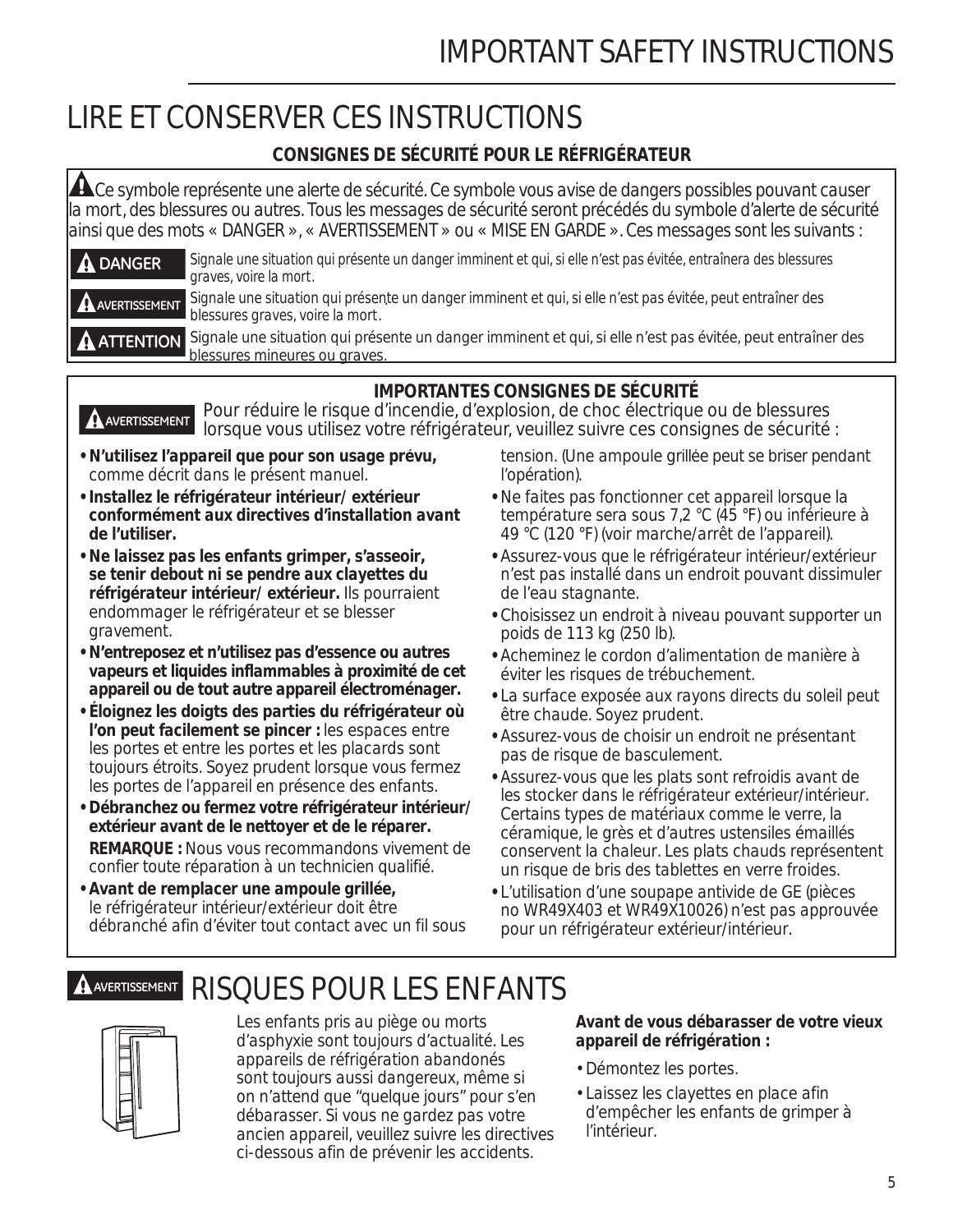## IMPORTANT SAFETY INSTRUCTIONS

## *LIRE ET CONSERVER CES INSTRUCTIONS*

### **CONSIGNES DE SÉCURITÉ POUR LE RÉFRIGÉRATEUR**

A Ce symbole représente une alerte de sécurité. Ce symbole vous avise de dangers possibles pouvant causer la mort, des blessures ou autres. Tous les messages de sécurité seront précédés du symbole d'alerte de sécurité ainsi que des mots « DANGER », « AVERTISSEMENT » ou « MISE EN GARDE ». Ces messages sont les suivants :

| $\mathbf A$ DANGER | Signale une situation qui présente un danger imminent et qui, si elle n'est pas évitée, entraînera des blessures<br>' graves, voire la mort.                   |
|--------------------|----------------------------------------------------------------------------------------------------------------------------------------------------------------|
|                    | A AVERTISSEMENT Signale une situation qui présente un danger imminent et qui, si elle n'est pas évitée, peut entraîner des<br>blessures graves, voire la mort. |
|                    | A A <del>TTENTION</del> Signale une situation qui présente un danger imminent et qui, si elle n'est pas évitée, peut entraîner d                               |

Signale une situation qui presente un danger imminent et qui, si elle n'est pas évitée, p blessures mineures ou graves. **A** ATTENTION



 Pour réduire le risque d'incendie, d'explosion, de choc électrique ou de blessures lorsque vous utilisez votre réfrigérateur, veuillez suivre ces consignes de sécurité : **AVERTISSEMENT**

- **N'utilisez l'appareil que pour son usage prévu,**  comme décrit dans le présent manuel.
- **Installez le réfrigérateur intérieur/ extérieur conformément aux directives d'installation avant de l'utiliser.**
- **Ne laissez pas les enfants grimper, s'asseoir, se tenir debout ni se pendre aux clayettes du réfrigérateur intérieur/ extérieur.** Ils pourraient endommager le réfrigérateur et se blesser gravement.
- **N'entreposez et n'utilisez pas d'essence ou autres vapeurs et liquides inflammables à proximité de cet appareil ou de tout autre appareil électroménager.**
- **Éloignez les doigts des parties du réfrigérateur où l'on peut facilement se pincer :** les espaces entre les portes et entre les portes et les placards sont toujours étroits. Soyez prudent lorsque vous fermez les portes de l'appareil en présence des enfants.
- **Débranchez ou fermez votre réfrigérateur intérieur/ extérieur avant de le nettoyer et de le réparer. REMARQUE :** Nous vous recommandons vivement de confier toute réparation à un technicien qualifié.
- **Avant de remplacer une ampoule grillée,**  le réfrigérateur intérieur/extérieur doit être débranché afin d'éviter tout contact avec un fil sous

tension. (Une ampoule grillée peut se briser pendant l'opération).

- **•** Ne faites pas fonctionner cet appareil lorsque la température sera sous 7,2 °C (45 °F) ou inférieure à 49 °C (120 °F) (voir marche/arrêt de l'appareil).
- **•** Assurez-vous que le réfrigérateur intérieur/extérieur n'est pas installé dans un endroit pouvant dissimuler de l'eau stagnante.
- **•** Choisissez un endroit à niveau pouvant supporter un poids de 113 kg (250 lb).
- **•** Acheminez le cordon d'alimentation de manière à éviter les risques de trébuchement.
- **•** La surface exposée aux rayons directs du soleil peut être chaude. Soyez prudent.
- **•** Assurez-vous de choisir un endroit ne présentant pas de risque de basculement.
- **•** Assurez-vous que les plats sont refroidis avant de les stocker dans le réfrigérateur extérieur/intérieur. Certains types de matériaux comme le verre, la céramique, le grès et d'autres ustensiles émaillés conservent la chaleur. Les plats chauds représentent un risque de bris des tablettes en verre froides.
- **•** L'utilisation d'une soupape antivide de GE (pièces no WR49X403 et WR49X10026) n'est pas approuvée pour un réfrigérateur extérieur/intérieur.

## **AVERTISSEMENT** *RISQUES POUR LES ENFANTS*



Les enfants pris au piège ou morts d'asphyxie sont toujours d'actualité. Les appareils de réfrigération abandonés sont toujours aussi dangereux, même si on n'attend que "quelque jours" pour s'en débarasser. Si vous ne gardez pas votre ancien appareil, veuillez suivre les directives ci-dessous afin de prévenir les accidents.

### **Avant de vous débarasser de votre vieux appareil de réfrigération :**

- Démontez les portes.
- Laissez les clayettes en place afin d'empêcher les enfants de grimper à l'intérieur.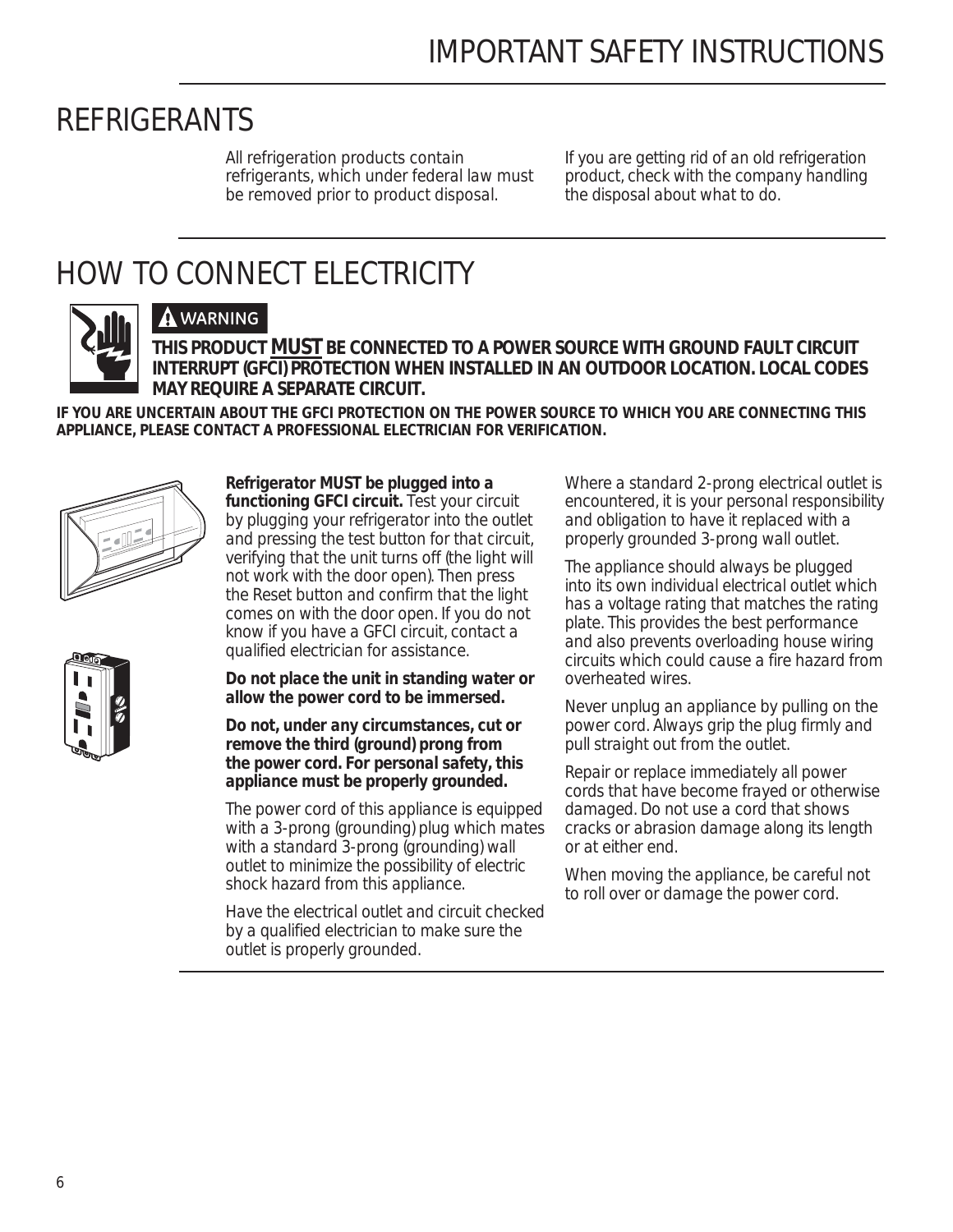## *REFRIGERANTS*

All refrigeration products contain refrigerants, which under federal law must be removed prior to product disposal.

If you are getting rid of an old refrigeration product, check with the company handling the disposal about what to do.

## *HOW TO CONNECT ELECTRICITY*



### **WARNING**

**THIS PRODUCT MUST BE CONNECTED TO A POWER SOURCE WITH GROUND FAULT CIRCUIT INTERRUPT (GFCI) PROTECTION WHEN INSTALLED IN AN OUTDOOR LOCATION. LOCAL CODES MAY REQUIRE A SEPARATE CIRCUIT.** 

**IF YOU ARE UNCERTAIN ABOUT THE GFCI PROTECTION ON THE POWER SOURCE TO WHICH YOU ARE CONNECTING THIS APPLIANCE, PLEASE CONTACT A PROFESSIONAL ELECTRICIAN FOR VERIFICATION.**



### **Refrigerator MUST be plugged into a functioning GFCI circuit.** Test your circuit

by plugging your refrigerator into the outlet and pressing the test button for that circuit, verifying that the unit turns off (the light will not work with the door open). Then press the Reset button and confirm that the light comes on with the door open. If you do not know if you have a GFCI circuit, contact a qualified electrician for assistance.

**Do not place the unit in standing water or allow the power cord to be immersed.**

**Do not, under any circumstances, cut or remove the third (ground) prong from the power cord. For personal safety, this appliance must be properly grounded.**

The power cord of this appliance is equipped with a 3-prong (grounding) plug which mates with a standard 3-prong (grounding) wall outlet to minimize the possibility of electric shock hazard from this appliance.

Have the electrical outlet and circuit checked by a qualified electrician to make sure the outlet is properly grounded.

Where a standard 2-prong electrical outlet is encountered, it is your personal responsibility and obligation to have it replaced with a properly grounded 3-prong wall outlet.

The appliance should always be plugged into its own individual electrical outlet which has a voltage rating that matches the rating plate. This provides the best performance and also prevents overloading house wiring circuits which could cause a fire hazard from overheated wires.

Never unplug an appliance by pulling on the power cord. Always grip the plug firmly and pull straight out from the outlet.

Repair or replace immediately all power cords that have become frayed or otherwise damaged. Do not use a cord that shows cracks or abrasion damage along its length or at either end.

When moving the appliance, be careful not to roll over or damage the power cord.

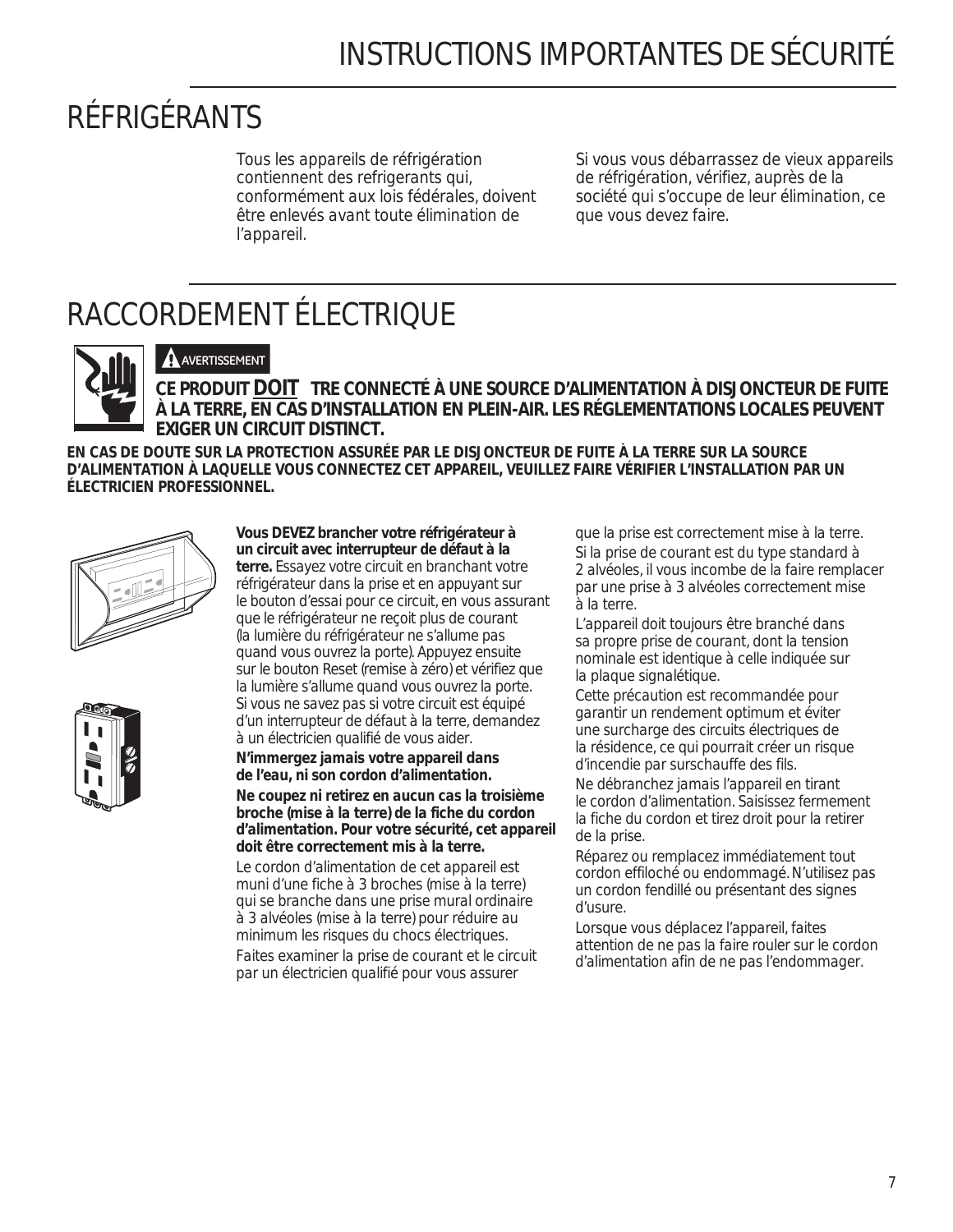## *RÉFRIGÉRANTS*

Tous les appareils de réfrigération contiennent des refrigerants qui, conformément aux lois fédérales, doivent être enlevés avant toute élimination de l'appareil.

Si vous vous débarrassez de vieux appareils de réfrigération, vérifiez, auprès de la société qui s'occupe de leur élimination, ce que vous devez faire.

## *RACCORDEMENT ÉLECTRIQUE*



### **A** AVERTISSEMENT

**CE PRODUIT DOIT TRE CONNECTÉ À UNE SOURCE D'ALIMENTATION À DISJONCTEUR DE FUITE À LA TERRE, EN CAS D'INSTALLATION EN PLEIN-AIR. LES RÉGLEMENTATIONS LOCALES PEUVENT EXIGER UN CIRCUIT DISTINCT.**

**EN CAS DE DOUTE SUR LA PROTECTION ASSURÉE PAR LE DISJONCTEUR DE FUITE À LA TERRE SUR LA SOURCE D'ALIMENTATION À LAQUELLE VOUS CONNECTEZ CET APPAREIL, VEUILLEZ FAIRE VÉRIFIER L'INSTALLATION PAR UN ÉLECTRICIEN PROFESSIONNEL.**





### **Vous DEVEZ brancher votre réfrigérateur à un circuit avec interrupteur de défaut à la**

**terre.** Essayez votre circuit en branchant votre réfrigérateur dans la prise et en appuyant sur le bouton d'essai pour ce circuit, en vous assurant que le réfrigérateur ne reçoit plus de courant (la lumière du réfrigérateur ne s'allume pas quand vous ouvrez la porte). Appuyez ensuite sur le bouton Reset (remise à zéro) et vérifiez que la lumière s'allume quand vous ouvrez la porte. Si vous ne savez pas si votre circuit est équipé d'un interrupteur de défaut à la terre, demandez à un électricien qualifié de vous aider.

**N'immergez jamais votre appareil dans de l'eau, ni son cordon d'alimentation.**

**Ne coupez ni retirez en aucun cas la troisième broche (mise à la terre) de la fiche du cordon d'alimentation. Pour votre sécurité, cet appareil doit être correctement mis à la terre.**

Le cordon d'alimentation de cet appareil est muni d'une fiche à 3 broches (mise à la terre) qui se branche dans une prise mural ordinaire à 3 alvéoles (mise à la terre) pour réduire au minimum les risques du chocs électriques. Faites examiner la prise de courant et le circuit par un électricien qualifié pour vous assurer

que la prise est correctement mise à la terre. Si la prise de courant est du type standard à 2 alvéoles, il vous incombe de la faire remplacer par une prise à 3 alvéoles correctement mise à la terre.

L'appareil doit toujours être branché dans sa propre prise de courant, dont la tension nominale est identique à celle indiquée sur la plaque signalétique.

Cette précaution est recommandée pour garantir un rendement optimum et éviter une surcharge des circuits électriques de la résidence, ce qui pourrait créer un risque d'incendie par surschauffe des fils.

Ne débranchez jamais l'appareil en tirant le cordon d'alimentation. Saisissez fermement la fiche du cordon et tirez droit pour la retirer de la prise.

Réparez ou remplacez immédiatement tout cordon effiloché ou endommagé. N'utilisez pas un cordon fendillé ou présentant des signes d'usure.

Lorsque vous déplacez l'appareil, faites attention de ne pas la faire rouler sur le cordon d'alimentation afin de ne pas l'endommager.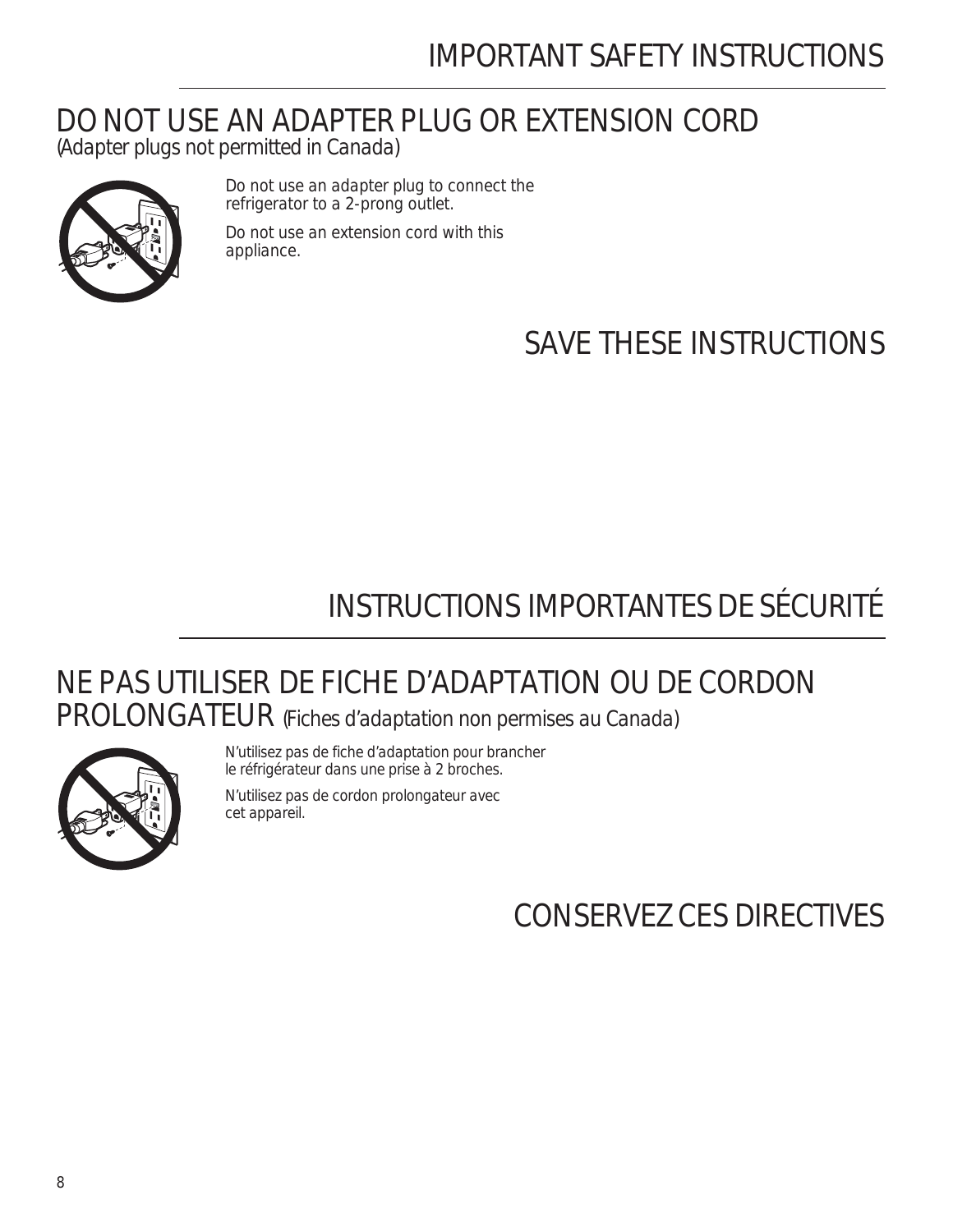## IMPORTANT SAFETY INSTRUCTIONS

### *DO NOT USE AN ADAPTER PLUG OR EXTENSION CORD (Adapter plugs not permitted in Canada)*



Do not use an adapter plug to connect the refrigerator to a 2-prong outlet. Do not use an extension cord with this appliance.

*SAVE THESE INSTRUCTIONS*

## INSTRUCTIONS IMPORTANTES DE SÉCURITÉ

## *NE PAS UTILISER DE FICHE D'ADAPTATION OU DE CORDON PROLONGATEUR (Fiches d'adaptation non permises au Canada)*



N'utilisez pas de fiche d'adaptation pour brancher le réfrigérateur dans une prise à 2 broches.

N'utilisez pas de cordon prolongateur avec cet appareil.

*CONSERVEZ CES DIRECTIVES*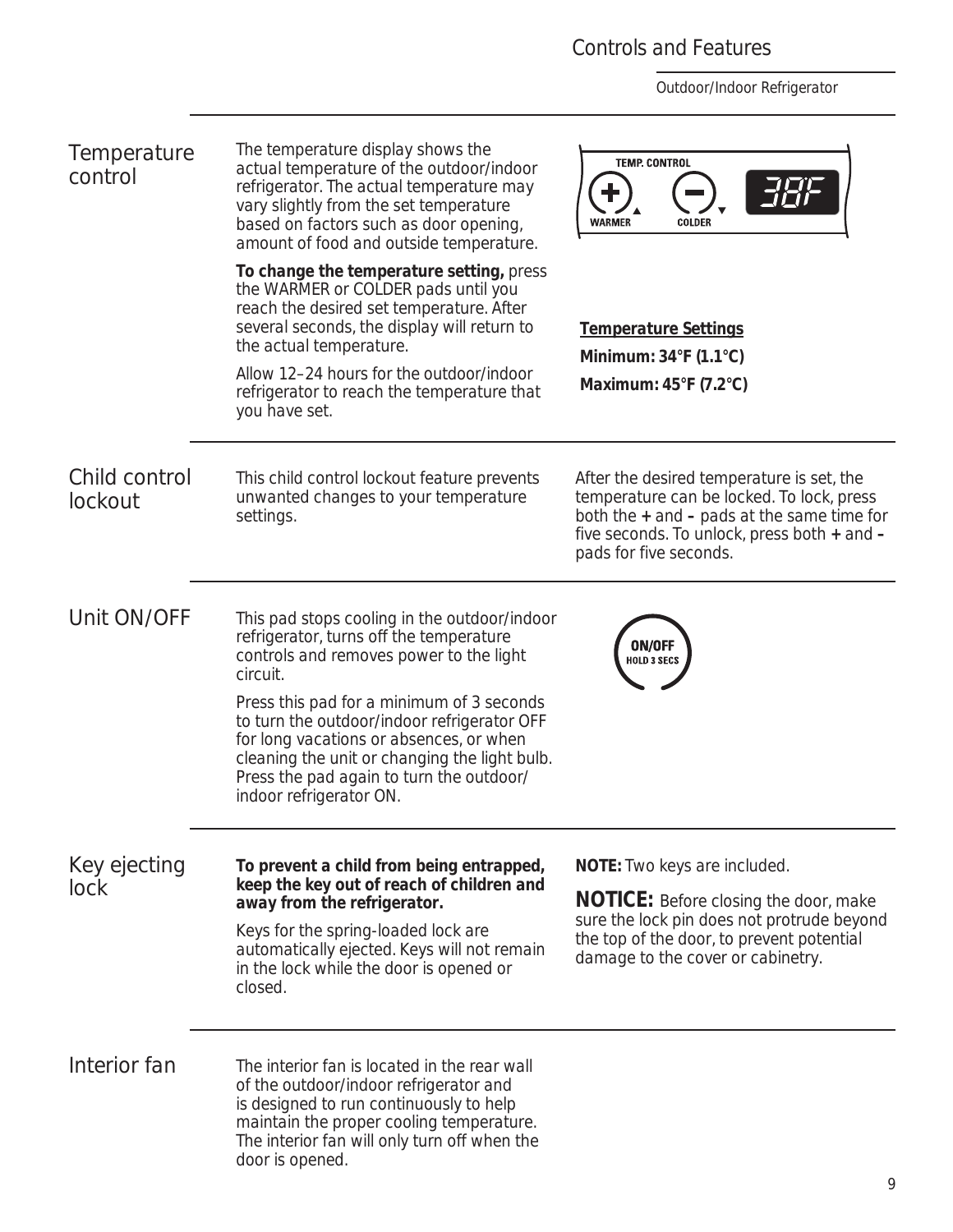### Controls and Features

| Temperature<br>control   | The temperature display shows the<br>actual temperature of the outdoor/indoor<br>refrigerator. The actual temperature may<br>vary slightly from the set temperature<br>based on factors such as door opening,<br>amount of food and outside temperature.    | <b>TEMP. CONTROL</b><br><b>WARMER</b><br><b>COLDER</b>                                                                                                                                                            |  |
|--------------------------|-------------------------------------------------------------------------------------------------------------------------------------------------------------------------------------------------------------------------------------------------------------|-------------------------------------------------------------------------------------------------------------------------------------------------------------------------------------------------------------------|--|
|                          | To change the temperature setting, press<br>the WARMER or COLDER pads until you<br>reach the desired set temperature. After<br>several seconds, the display will return to<br>the actual temperature.                                                       | <b>Temperature Settings</b><br>Minimum: 34°F (1.1°C)                                                                                                                                                              |  |
|                          | Allow 12-24 hours for the outdoor/indoor<br>refrigerator to reach the temperature that<br>you have set.                                                                                                                                                     | Maximum: 45°F (7.2°C)                                                                                                                                                                                             |  |
| Child control<br>lockout | This child control lockout feature prevents<br>unwanted changes to your temperature<br>settings.                                                                                                                                                            | After the desired temperature is set, the<br>temperature can be locked. To lock, press<br>both the $+$ and $-$ pads at the same time for<br>five seconds. To unlock, press both + and -<br>pads for five seconds. |  |
| Unit ON/OFF              | This pad stops cooling in the outdoor/indoor<br>refrigerator, turns off the temperature<br>controls and removes power to the light<br>circuit.                                                                                                              | ON/OFF<br><b>HOLD 3 SECS</b>                                                                                                                                                                                      |  |
|                          | Press this pad for a minimum of 3 seconds<br>to turn the outdoor/indoor refrigerator OFF<br>for long vacations or absences, or when<br>cleaning the unit or changing the light bulb.<br>Press the pad again to turn the outdoor/<br>indoor refrigerator ON. |                                                                                                                                                                                                                   |  |
| Key ejecting             | To prevent a child from being entrapped,                                                                                                                                                                                                                    | NOTE: Two keys are included.                                                                                                                                                                                      |  |
| lock                     | keep the key out of reach of children and<br>away from the refrigerator.                                                                                                                                                                                    | <b>NOTICE:</b> Before closing the door, make<br>sure the lock pin does not protrude beyond                                                                                                                        |  |
|                          | Keys for the spring-loaded lock are<br>automatically ejected. Keys will not remain<br>in the lock while the door is opened or<br>closed.                                                                                                                    | the top of the door, to prevent potential<br>damage to the cover or cabinetry.                                                                                                                                    |  |
| Interior fan             | The interior fan is located in the rear wall<br>of the outdoor/indoor refrigerator and<br>is designed to run continuously to help<br>maintain the proper cooling temperature.<br>The interior fan will only turn off when the<br>door is opened.            |                                                                                                                                                                                                                   |  |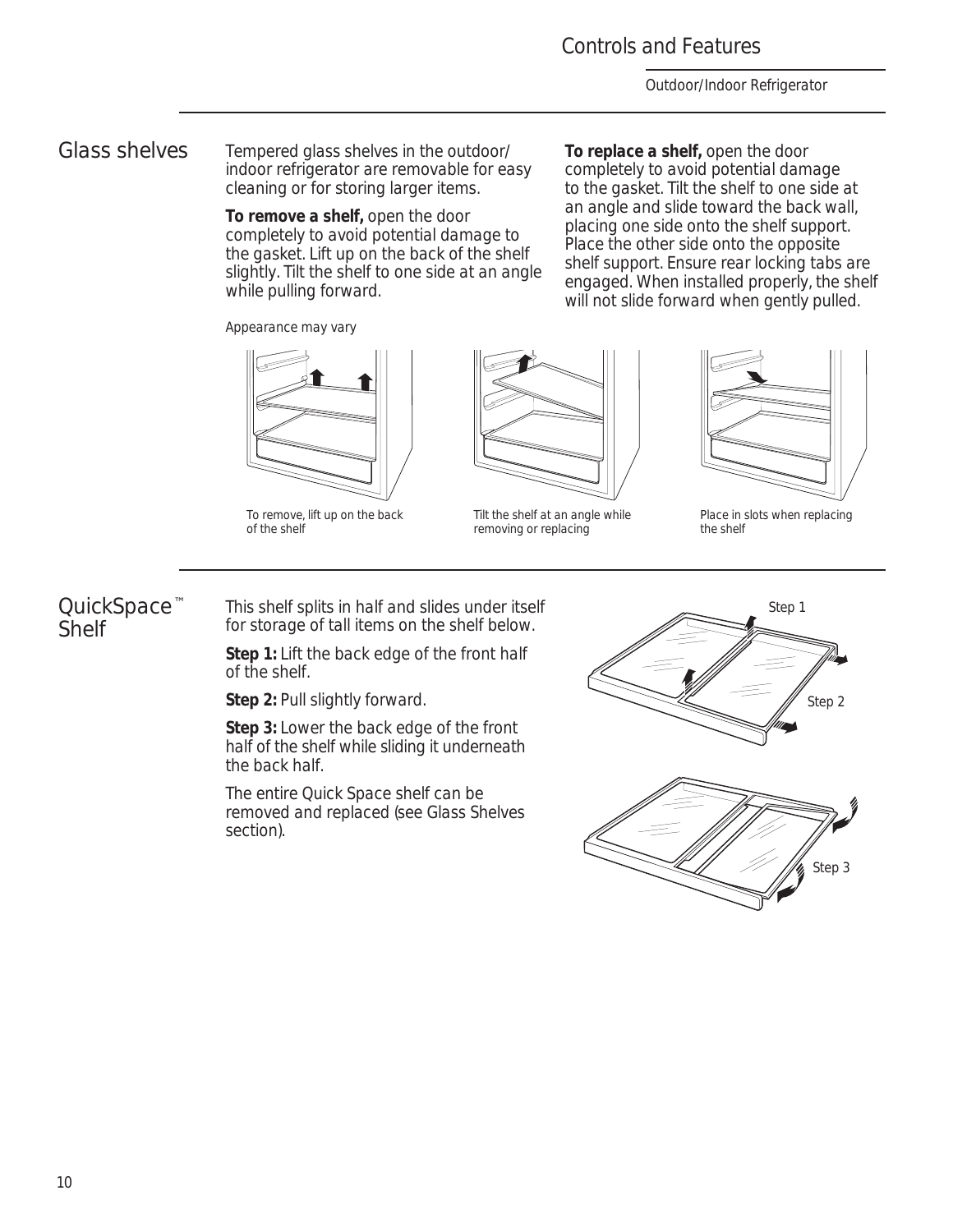### Controls and Features

**To replace a shelf,** open the door completely to avoid potential damage to the gasket. Tilt the shelf to one side at an angle and slide toward the back wall, placing one side onto the shelf support. Place the other side onto the opposite shelf support. Ensure rear locking tabs are engaged. When installed properly, the shelf will not slide forward when gently pulled.

*Outdoor/Indoor Refrigerator*

*Glass shelves* Tempered glass shelves in the outdoor/ indoor refrigerator are removable for easy cleaning or for storing larger items.

> **To remove a shelf,** open the door completely to avoid potential damage to the gasket. Lift up on the back of the shelf slightly. Tilt the shelf to one side at an angle while pulling forward.

Appearance may vary



To remove, lift up on the back of the shelf



Tilt the shelf at an angle while removing or replacing



Place in slots when replacing the shelf

### *QuickSpace ™ Shelf*

This shelf splits in half and slides under itself for storage of tall items on the shelf below.

**Step 1:** Lift the back edge of the front half of the shelf.

**Step 2:** Pull slightly forward.

**Step 3:** Lower the back edge of the front half of the shelf while sliding it underneath the back half.

The entire Quick Space shelf can be removed and replaced (see Glass Shelves section).

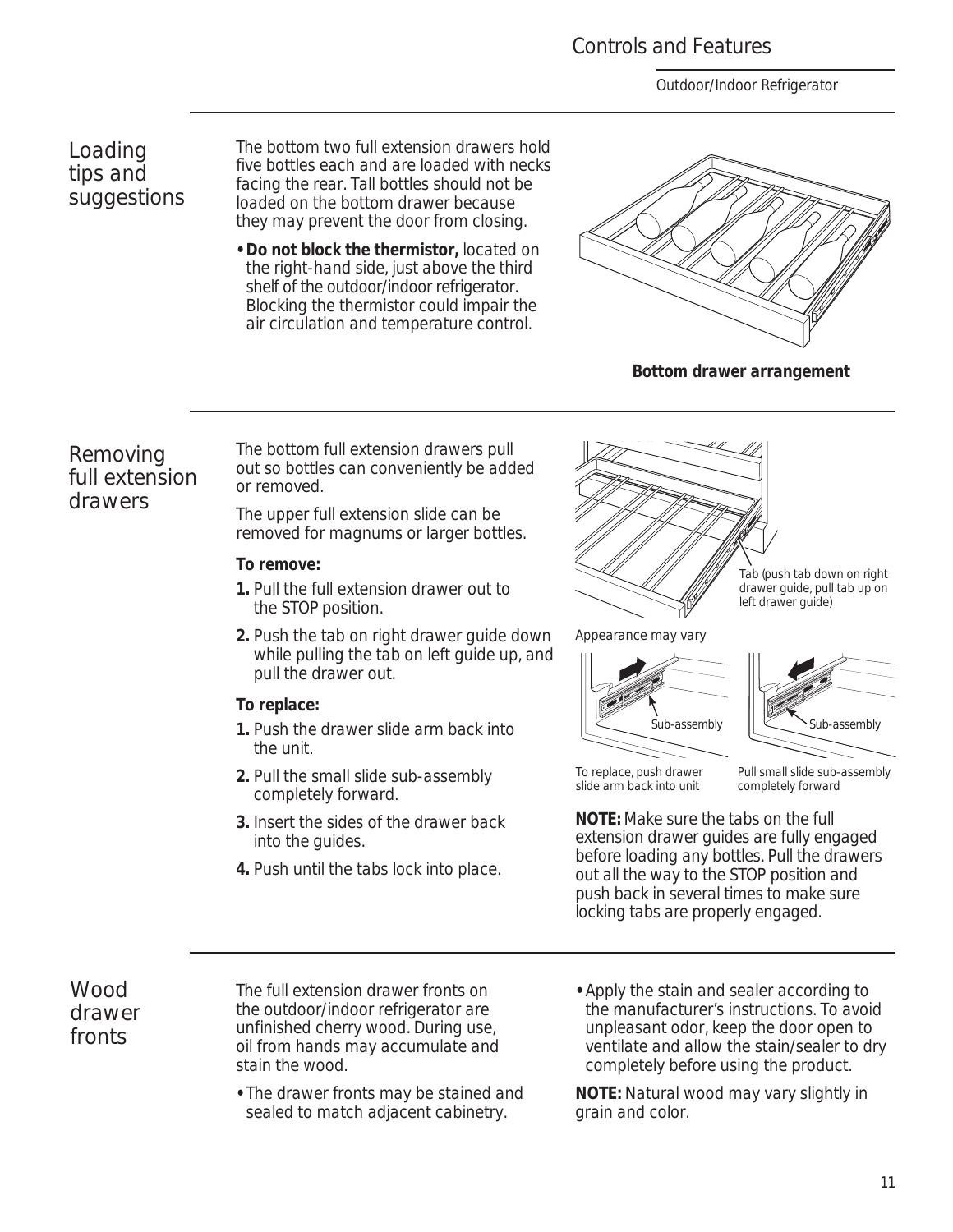### Controls and Features

*Outdoor/Indoor Refrigerator*

*Loading tips and suggestions* The bottom two full extension drawers hold five bottles each and are loaded with necks facing the rear. Tall bottles should not be loaded on the bottom drawer because they may prevent the door from closing.

**• Do not block the thermistor,** located on the right-hand side, just above the third shelf of the outdoor/indoor refrigerator. Blocking the thermistor could impair the air circulation and temperature control.



**Bottom drawer arrangement**

*Removing full extension drawers*

The bottom full extension drawers pull out so bottles can conveniently be added or removed.

The upper full extension slide can be removed for magnums or larger bottles.

### **To remove:**

- **1.** Pull the full extension drawer out to the STOP position.
- **2.** Push the tab on right drawer guide down while pulling the tab on left guide up, and pull the drawer out.

### **To replace:**

- **1.** Push the drawer slide arm back into the unit.
- **2.** Pull the small slide sub-assembly completely forward.
- **3.** Insert the sides of the drawer back into the guides.
- **4.** Push until the tabs lock into place.



Tab (push tab down on right drawer guide, pull tab up on left drawer guide)

Appearance may vary





To replace, push drawer slide arm back into unit

Pull small slide sub-assembly completely forward

**NOTE:** Make sure the tabs on the full extension drawer guides are fully engaged before loading any bottles. Pull the drawers out all the way to the STOP position and push back in several times to make sure locking tabs are properly engaged.

*Wood drawer fronts*

The full extension drawer fronts on the outdoor/indoor refrigerator are unfinished cherry wood. During use, oil from hands may accumulate and stain the wood.

- **•** The drawer fronts may be stained and sealed to match adjacent cabinetry.
- **•** Apply the stain and sealer according to the manufacturer's instructions. To avoid unpleasant odor, keep the door open to ventilate and allow the stain/sealer to dry completely before using the product.

**NOTE:** Natural wood may vary slightly in grain and color.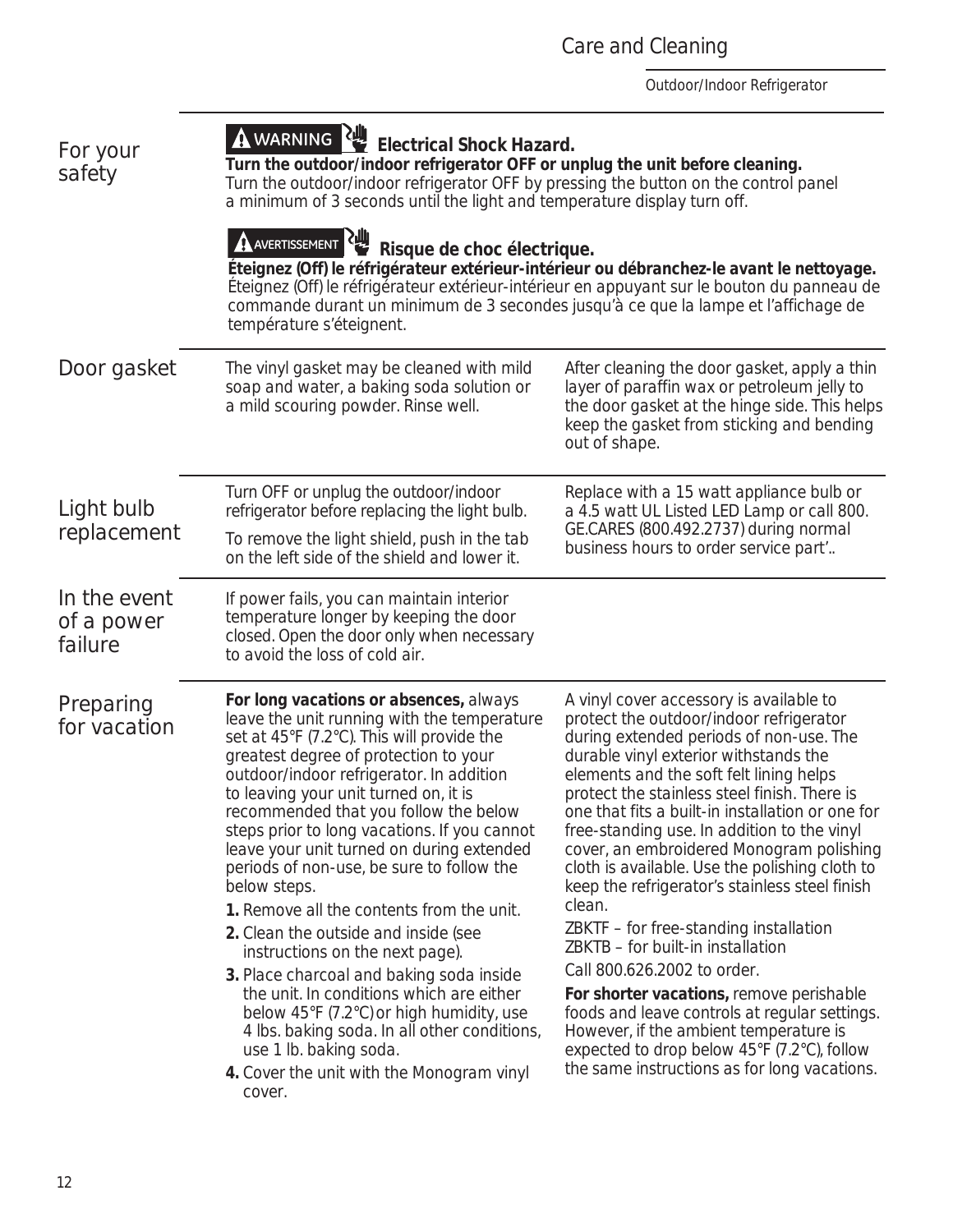| <i>For your</i><br>safety             | A WARNING RULL Electrical Shock Hazard.<br>Turn the outdoor/indoor refrigerator OFF or unplug the unit before cleaning.<br>Turn the outdoor/indoor refrigerator OFF by pressing the button on the control panel<br>a minimum of 3 seconds until the light and temperature display turn off.<br>AVERTISSEMENT<br>Risque de choc électrique.<br>Éteignez (Off) le réfrigérateur extérieur-intérieur ou débranchez-le avant le nettoyage.<br>Éteignez (Off) le réfrigérateur extérieur-intérieur en appuyant sur le bouton du panneau de<br>commande durant un minimum de 3 secondes jusqu'à ce que la lampe et l'affichage de<br>température s'éteignent.                                                                                                                                                                                                           |                                                                                                                                                                                                                                                                                                                                                                                                                                                                                                                                                                                                                                                                                                                                                                                                                                                                                    |  |
|---------------------------------------|-------------------------------------------------------------------------------------------------------------------------------------------------------------------------------------------------------------------------------------------------------------------------------------------------------------------------------------------------------------------------------------------------------------------------------------------------------------------------------------------------------------------------------------------------------------------------------------------------------------------------------------------------------------------------------------------------------------------------------------------------------------------------------------------------------------------------------------------------------------------|------------------------------------------------------------------------------------------------------------------------------------------------------------------------------------------------------------------------------------------------------------------------------------------------------------------------------------------------------------------------------------------------------------------------------------------------------------------------------------------------------------------------------------------------------------------------------------------------------------------------------------------------------------------------------------------------------------------------------------------------------------------------------------------------------------------------------------------------------------------------------------|--|
| Door gasket                           | The vinyl gasket may be cleaned with mild<br>soap and water, a baking soda solution or<br>a mild scouring powder. Rinse well.                                                                                                                                                                                                                                                                                                                                                                                                                                                                                                                                                                                                                                                                                                                                     | After cleaning the door gasket, apply a thin<br>layer of paraffin wax or petroleum jelly to<br>the door gasket at the hinge side. This helps<br>keep the gasket from sticking and bending<br>out of shape.                                                                                                                                                                                                                                                                                                                                                                                                                                                                                                                                                                                                                                                                         |  |
| Light bulb<br>replacement             | Replace with a 15 watt appliance bulb or<br>Turn OFF or unplug the outdoor/indoor<br>refrigerator before replacing the light bulb.<br>a 4.5 watt UL Listed LED Lamp or call 800.<br>GE.CARES (800.492.2737) during normal<br>To remove the light shield, push in the tab<br>business hours to order service part"<br>on the left side of the shield and lower it.                                                                                                                                                                                                                                                                                                                                                                                                                                                                                                 |                                                                                                                                                                                                                                                                                                                                                                                                                                                                                                                                                                                                                                                                                                                                                                                                                                                                                    |  |
| In the event<br>of a power<br>failure | If power fails, you can maintain interior<br>temperature longer by keeping the door<br>closed. Open the door only when necessary<br>to avoid the loss of cold air.                                                                                                                                                                                                                                                                                                                                                                                                                                                                                                                                                                                                                                                                                                |                                                                                                                                                                                                                                                                                                                                                                                                                                                                                                                                                                                                                                                                                                                                                                                                                                                                                    |  |
| Preparing<br>for vacation             | For long vacations or absences, always<br>leave the unit running with the temperature<br>set at 45°F (7.2°C). This will provide the<br>greatest degree of protection to your<br>outdoor/indoor refrigerator. In addition<br>to leaving your unit turned on, it is<br>recommended that you follow the below<br>steps prior to long vacations. If you cannot<br>leave your unit turned on during extended<br>periods of non-use, be sure to follow the<br>below steps.<br>1. Remove all the contents from the unit.<br>2. Clean the outside and inside (see<br>instructions on the next page).<br>3. Place charcoal and baking soda inside<br>the unit. In conditions which are either<br>below 45°F (7.2°C) or high humidity, use<br>4 lbs. baking soda. In all other conditions,<br>use 1 lb. baking soda.<br>4. Cover the unit with the Monogram vinyl<br>cover. | A vinyl cover accessory is available to<br>protect the outdoor/indoor refrigerator<br>during extended periods of non-use. The<br>durable vinyl exterior withstands the<br>elements and the soft felt lining helps<br>protect the stainless steel finish. There is<br>one that fits a built-in installation or one for<br>free-standing use. In addition to the vinyl<br>cover, an embroidered Monogram polishing<br>cloth is available. Use the polishing cloth to<br>keep the refrigerator's stainless steel finish<br>clean.<br>ZBKTF - for free-standing installation<br>ZBKTB - for built-in installation<br>Call 800.626.2002 to order.<br>For shorter vacations, remove perishable<br>foods and leave controls at regular settings.<br>However, if the ambient temperature is<br>expected to drop below 45°F (7.2°C), follow<br>the same instructions as for long vacations. |  |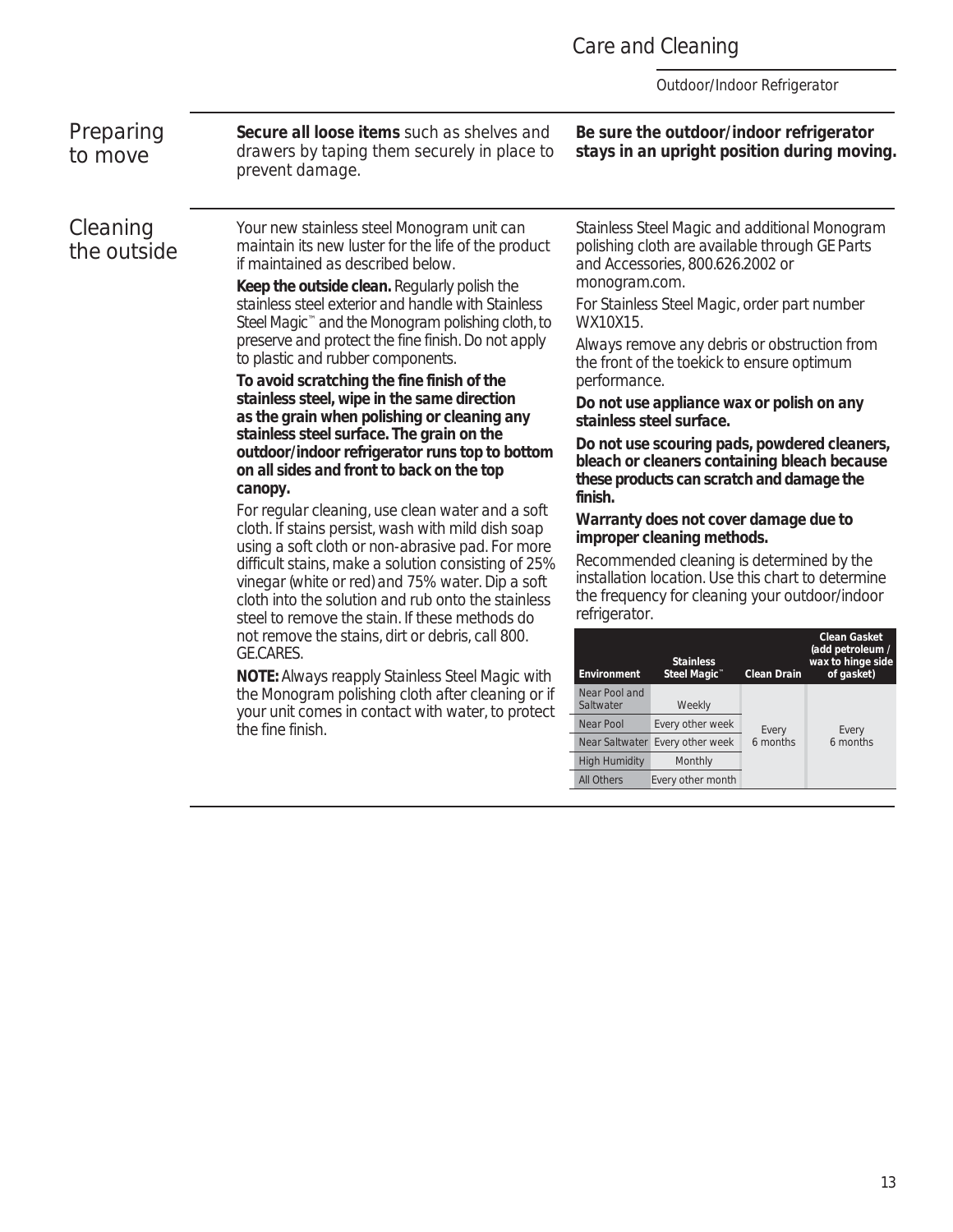### Care and Cleaning

*Outdoor/Indoor Refrigerator*

*Preparing to move*

*Cleaning the outside* **Secure all loose items** such as shelves and drawers by taping them securely in place to prevent damage.

Your new stainless steel Monogram unit can maintain its new luster for the life of the product

**Keep the outside clean.** Regularly polish the stainless steel exterior and handle with Stainless Steel Magic™ and the Monogram polishing cloth, to preserve and protect the fine finish. Do not apply

**To avoid scratching the fine finish of the stainless steel, wipe in the same direction as the grain when polishing or cleaning any stainless steel surface. The grain on the outdoor/indoor refrigerator runs top to bottom on all sides and front to back on the top** 

For regular cleaning, use clean water and a soft cloth. If stains persist, wash with mild dish soap using a soft cloth or non-abrasive pad. For more difficult stains, make a solution consisting of 25% vinegar (white or red) and 75% water. Dip a soft cloth into the solution and rub onto the stainless steel to remove the stain. If these methods do not remove the stains, dirt or debris, call 800.

**NOTE:** Always reapply Stainless Steel Magic with the Monogram polishing cloth after cleaning or if your unit comes in contact with water, to protect

if maintained as described below.

to plastic and rubber components.

**canopy.**

GE.CARES.

the fine finish.

Stainless Steel Magic and additional Monogram polishing cloth are available through GE Parts and Accessories, 800.626.2002 or

**Be sure the outdoor/indoor refrigerator stays in an upright position during moving.**

monogram.com.

For Stainless Steel Magic, order part number WX10X15.

Always remove any debris or obstruction from the front of the toekick to ensure optimum performance.

**Do not use appliance wax or polish on any stainless steel surface.**

**Do not use scouring pads, powdered cleaners, bleach or cleaners containing bleach because these products can scratch and damage the finish.**

### **Warranty does not cover damage due to improper cleaning methods.**

Recommended cleaning is determined by the installation location. Use this chart to determine the frequency for cleaning your outdoor/indoor refrigerator.

| Environment                | <b>Stainless</b><br>Steel Magic <sup>™</sup> | <b>Clean Drain</b> | Clean Gasket<br>(add petroleum /<br>wax to hinge side<br>of gasket) |
|----------------------------|----------------------------------------------|--------------------|---------------------------------------------------------------------|
| Near Pool and<br>Saltwater | Weekly                                       |                    |                                                                     |
| Near Pool                  | Every other week                             | Every              | Every                                                               |
| Near Saltwater             | Every other week                             | 6 months           | 6 months                                                            |
| <b>High Humidity</b>       | Monthly                                      |                    |                                                                     |
| All Others                 | Every other month                            |                    |                                                                     |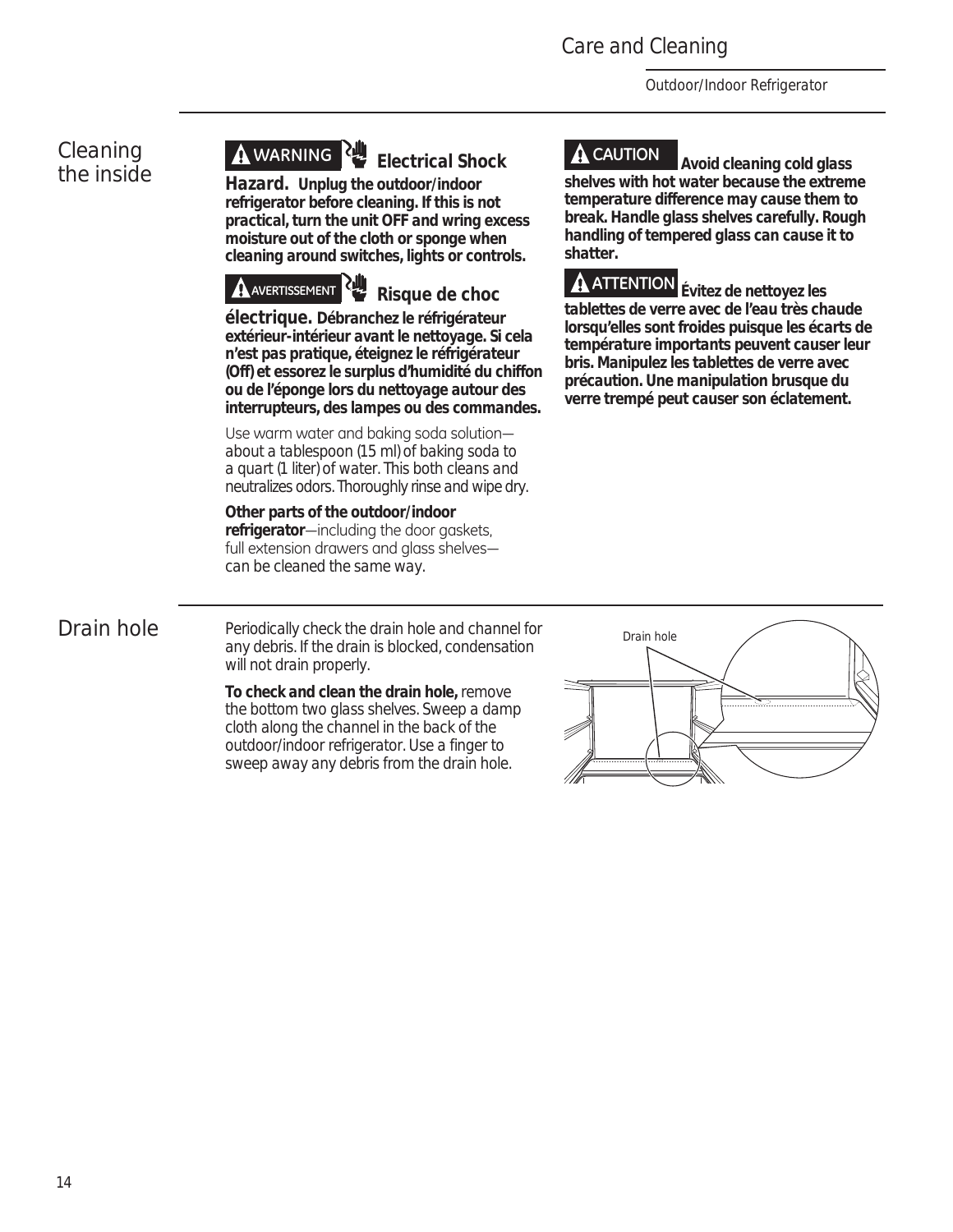*Outdoor/Indoor Refrigerator*

### *Cleaning the inside*

## **WARNING Electrical Shock**

**Hazard. Unplug the outdoor/indoor refrigerator before cleaning. If this is not practical, turn the unit OFF and wring excess moisture out of the cloth or sponge when cleaning around switches, lights or controls.**



**électrique. Débranchez le réfrigérateur extérieur-intérieur avant le nettoyage. Si cela n'est pas pratique, éteignez le réfrigérateur (Off) et essorez le surplus d'humidité du chiffon ou de l'éponge lors du nettoyage autour des interrupteurs, des lampes ou des commandes.**

Use warm water and baking soda solutionabout a tablespoon (15 ml) of baking soda to a quart (1 liter) of water. This both cleans and neutralizes odors. Thoroughly rinse and wipe dry.

**Other parts of the outdoor/indoor**  refrigerator-including the door gaskets, full extension drawers and glass shelvescan be cleaned the same way.

**CAUTION Avoid cleaning cold glass shelves with hot water because the extreme temperature difference may cause them to break. Handle glass shelves carefully. Rough handling of tempered glass can cause it to shatter.**



**ATTENTION Évitez de nettoyez les tablettes de verre avec de l'eau très chaude lorsqu'elles sont froides puisque les écarts de température importants peuvent causer leur bris. Manipulez les tablettes de verre avec précaution. Une manipulation brusque du verre trempé peut causer son éclatement.**



*Drain hole* Periodically check the drain hole and channel for any debris. If the drain is blocked, condensation will not drain properly.

> **To check and clean the drain hole,** remove the bottom two glass shelves. Sweep a damp cloth along the channel in the back of the outdoor/indoor refrigerator. Use a finger to sweep away any debris from the drain hole.

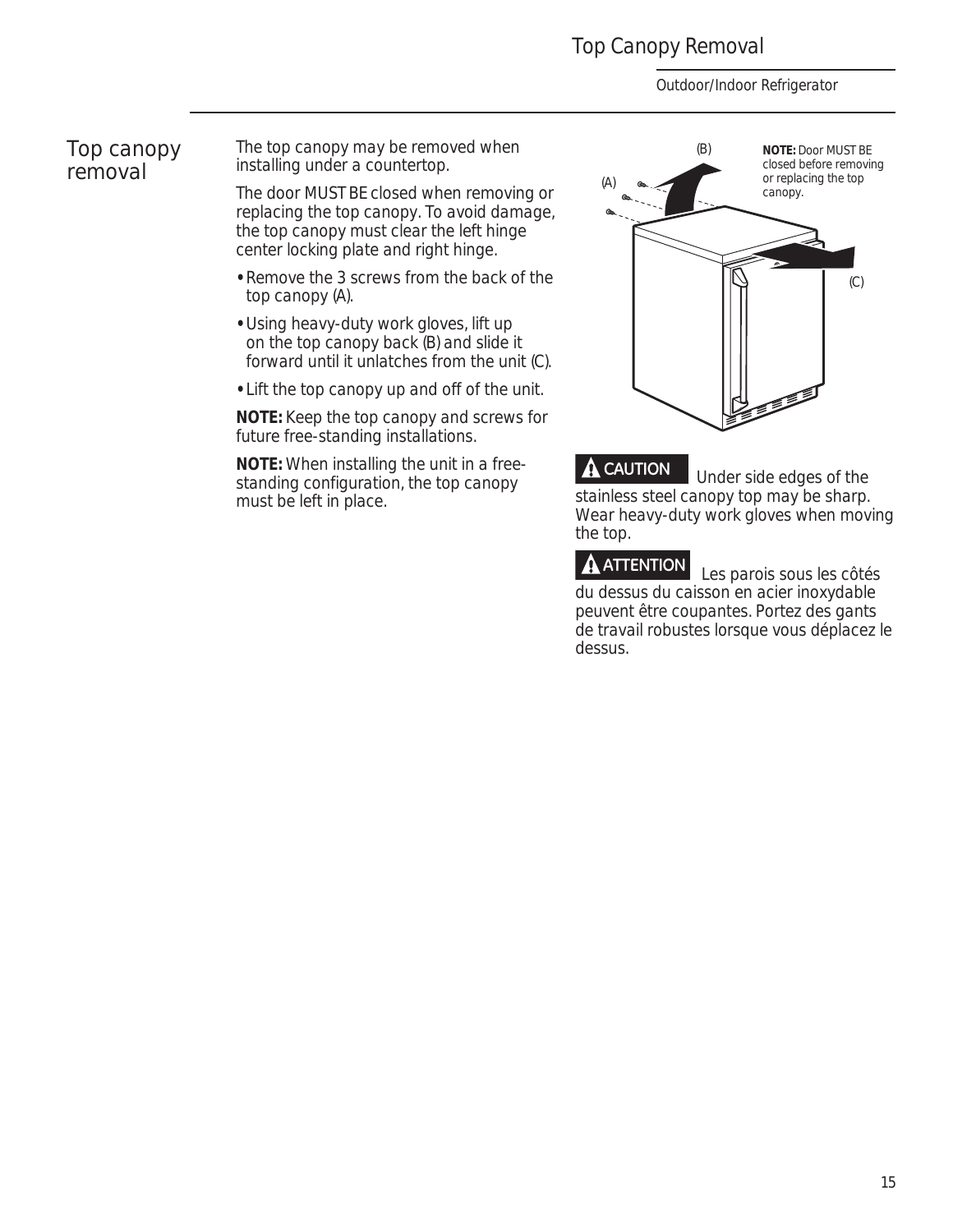### Top Canopy Removal

*Outdoor/Indoor Refrigerator*

### *Top canopy removal*

The top canopy may be removed when installing under a countertop.

The door MUST BE closed when removing or replacing the top canopy. To avoid damage, the top canopy must clear the left hinge center locking plate and right hinge.

- **•** Remove the 3 screws from the back of the top canopy (A).
- **•** Using heavy-duty work gloves, lift up on the top canopy back (B) and slide it forward until it unlatches from the unit (C).
- **•** Lift the top canopy up and off of the unit.

**NOTE:** Keep the top canopy and screws for future free-standing installations.

**NOTE:** When installing the unit in a freestanding configuration, the top canopy must be left in place.



**A CAUTION** Under side edges of the stainless steel canopy top may be sharp. Wear heavy-duty work gloves when moving the top.

**ATTENTION** Les parois sous les côtés du dessus du caisson en acier inoxydable peuvent être coupantes. Portez des gants de travail robustes lorsque vous déplacez le dessus.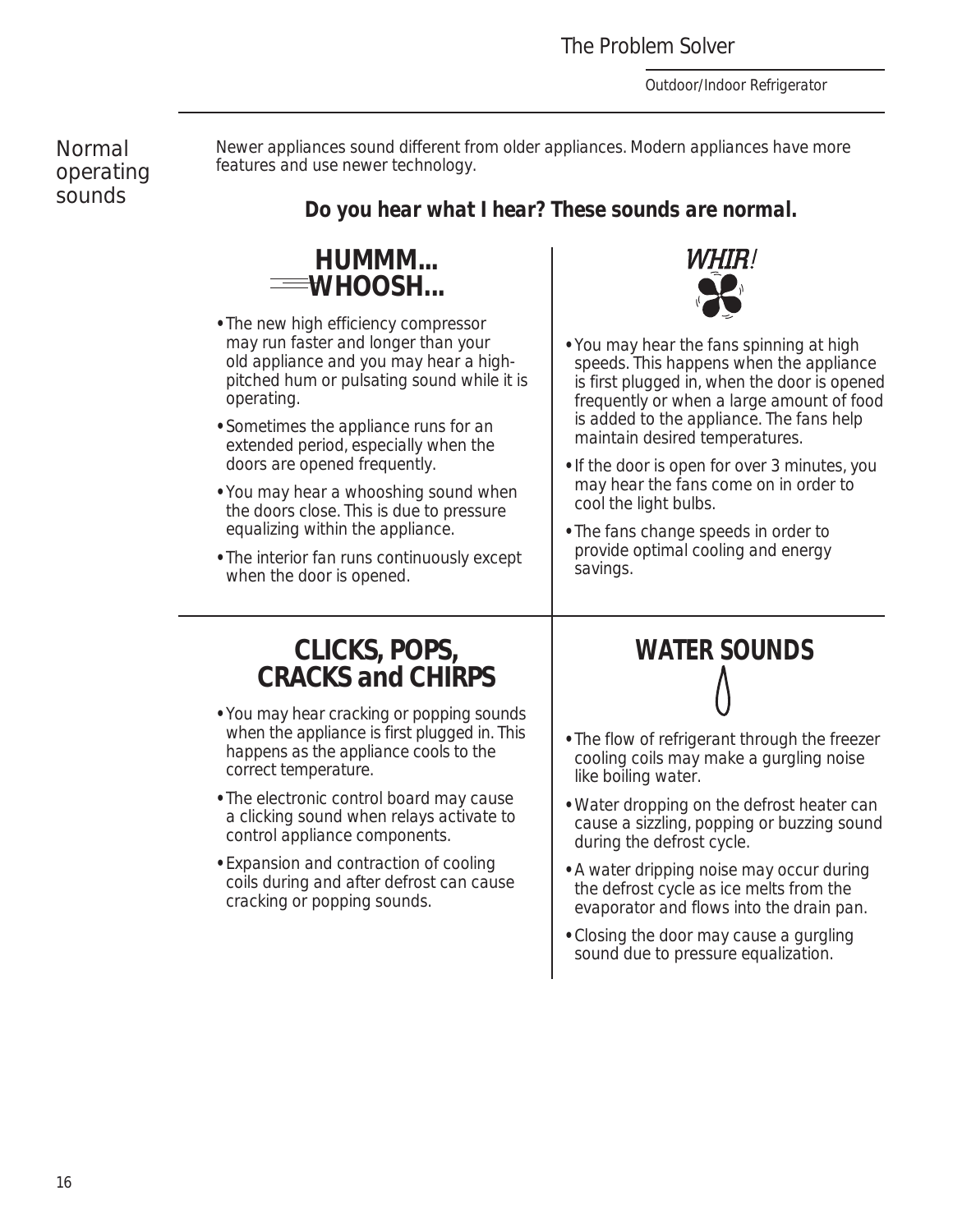*Outdoor/Indoor Refrigerator*

*Normal operating sounds* 

Newer appliances sound different from older appliances. Modern appliances have more features and use newer technology.

### *Do you hear what I hear? These sounds are normal.*



- **•** The new high efficiency compressor may run faster and longer than your old appliance and you may hear a highpitched hum or pulsating sound while it is operating.
- **•** Sometimes the appliance runs for an extended period, especially when the doors are opened frequently.
- **•** You may hear a whooshing sound when the doors close. This is due to pressure equalizing within the appliance.
- **•** The interior fan runs continuously except when the door is opened.

### **CLICKS, POPS, CRACKS and CHIRPS**

- **•** You may hear cracking or popping sounds when the appliance is first plugged in. This happens as the appliance cools to the correct temperature.
- **•** The electronic control board may cause a clicking sound when relays activate to control appliance components.
- **•** Expansion and contraction of cooling coils during and after defrost can cause cracking or popping sounds.



- **•** You may hear the fans spinning at high speeds. This happens when the appliance is first plugged in, when the door is opened frequently or when a large amount of food is added to the appliance. The fans help maintain desired temperatures.
- **•** If the door is open for over 3 minutes, you may hear the fans come on in order to cool the light bulbs.
- **•** The fans change speeds in order to provide optimal cooling and energy savings.

# **WATER SOUNDS**

- **•** The flow of refrigerant through the freezer cooling coils may make a gurgling noise like boiling water.
- **•** Water dropping on the defrost heater can cause a sizzling, popping or buzzing sound during the defrost cycle.
- **•** A water dripping noise may occur during the defrost cycle as ice melts from the evaporator and flows into the drain pan.
- **•** Closing the door may cause a gurgling sound due to pressure equalization.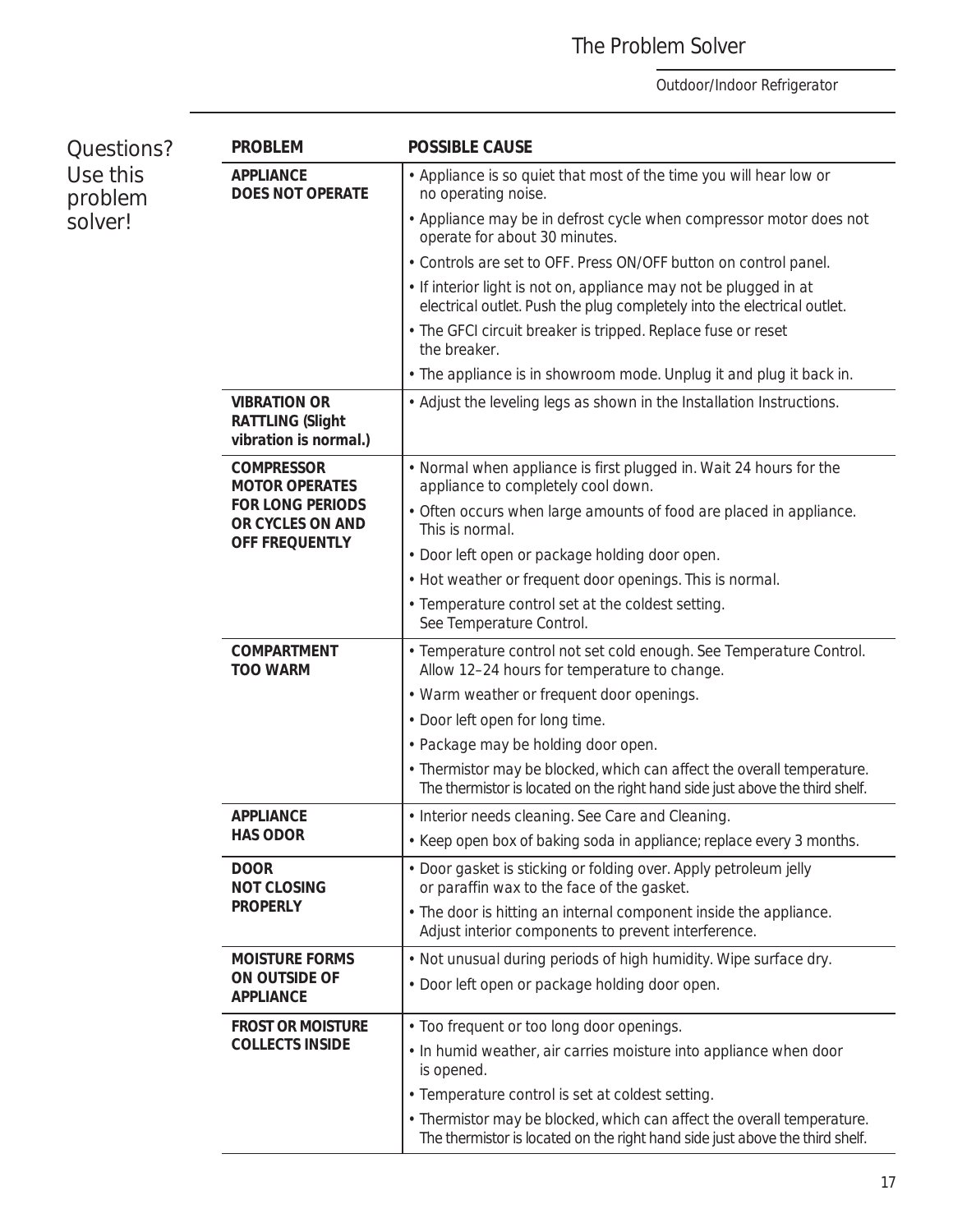### The Problem Solver

| Questions?<br>Use this<br>problem<br>solver! | <b>PROBLEM</b>                                                          | <b>POSSIBLE CAUSE</b>                                                                                                                                  |
|----------------------------------------------|-------------------------------------------------------------------------|--------------------------------------------------------------------------------------------------------------------------------------------------------|
|                                              | <b>APPLIANCE</b><br><b>DOES NOT OPERATE</b>                             | • Appliance is so quiet that most of the time you will hear low or<br>no operating noise.                                                              |
|                                              |                                                                         | • Appliance may be in defrost cycle when compressor motor does not<br>operate for about 30 minutes.                                                    |
|                                              |                                                                         | • Controls are set to OFF. Press ON/OFF button on control panel.                                                                                       |
|                                              |                                                                         | . If interior light is not on, appliance may not be plugged in at<br>electrical outlet. Push the plug completely into the electrical outlet.           |
|                                              |                                                                         | • The GFCI circuit breaker is tripped. Replace fuse or reset<br>the breaker.                                                                           |
|                                              |                                                                         | • The appliance is in showroom mode. Unplug it and plug it back in.                                                                                    |
|                                              | <b>VIBRATION OR</b><br><b>RATTLING (Slight</b><br>vibration is normal.) | • Adjust the leveling legs as shown in the Installation Instructions.                                                                                  |
|                                              | <b>COMPRESSOR</b><br><b>MOTOR OPERATES</b>                              | • Normal when appliance is first plugged in. Wait 24 hours for the<br>appliance to completely cool down.                                               |
|                                              | <b>FOR LONG PERIODS</b><br>OR CYCLES ON AND<br>OFF FREQUENTLY           | • Often occurs when large amounts of food are placed in appliance.<br>This is normal.                                                                  |
|                                              |                                                                         | • Door left open or package holding door open.                                                                                                         |
|                                              |                                                                         | • Hot weather or frequent door openings. This is normal.                                                                                               |
|                                              |                                                                         | • Temperature control set at the coldest setting.<br>See Temperature Control.                                                                          |
|                                              | <b>COMPARTMENT</b><br><b>TOO WARM</b>                                   | • Temperature control not set cold enough. See Temperature Control.<br>Allow 12-24 hours for temperature to change.                                    |
|                                              |                                                                         | • Warm weather or frequent door openings.                                                                                                              |
|                                              |                                                                         | • Door left open for long time.                                                                                                                        |
|                                              |                                                                         | • Package may be holding door open.                                                                                                                    |
|                                              |                                                                         | • Thermistor may be blocked, which can affect the overall temperature.<br>The thermistor is located on the right hand side just above the third shelf. |
|                                              | <b>APPLIANCE</b><br><b>HAS ODOR</b>                                     | • Interior needs cleaning. See Care and Cleaning.                                                                                                      |
|                                              |                                                                         | • Keep open box of baking soda in appliance; replace every 3 months.                                                                                   |
|                                              | <b>DOOR</b><br><b>NOT CLOSING</b>                                       | • Door gasket is sticking or folding over. Apply petroleum jelly<br>or paraffin wax to the face of the gasket.                                         |
|                                              | <b>PROPERLY</b>                                                         | • The door is hitting an internal component inside the appliance.<br>Adjust interior components to prevent interference.                               |
|                                              | <b>MOISTURE FORMS</b>                                                   | . Not unusual during periods of high humidity. Wipe surface dry.                                                                                       |
|                                              | ON OUTSIDE OF<br><b>APPLIANCE</b>                                       | • Door left open or package holding door open.                                                                                                         |
|                                              | <b>FROST OR MOISTURE</b><br><b>COLLECTS INSIDE</b>                      | • Too frequent or too long door openings.                                                                                                              |
|                                              |                                                                         | . In humid weather, air carries moisture into appliance when door<br>is opened.                                                                        |
|                                              |                                                                         | • Temperature control is set at coldest setting.                                                                                                       |
|                                              |                                                                         | • Thermistor may be blocked, which can affect the overall temperature.<br>The thermistor is located on the right hand side just above the third shelf. |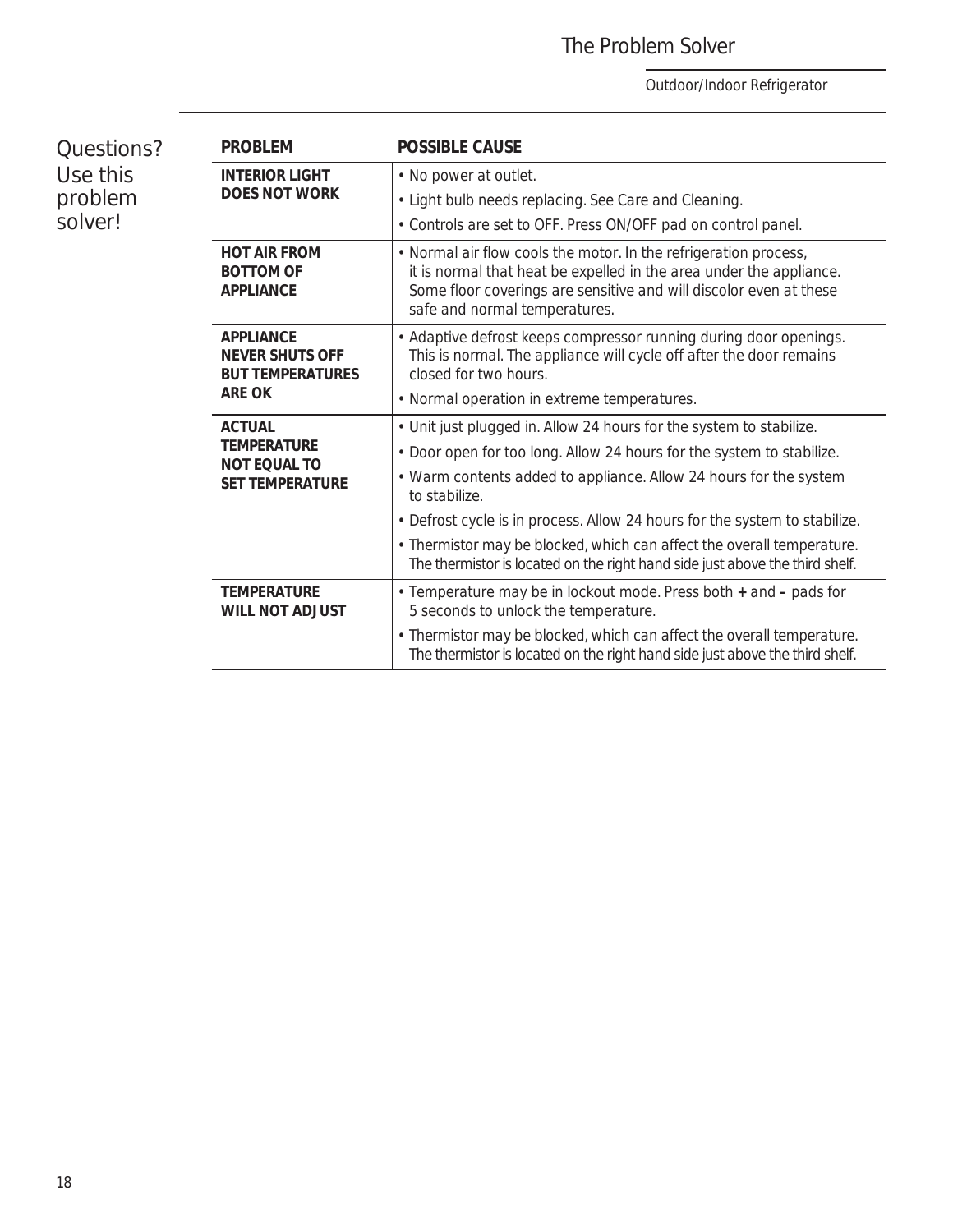### The Problem Solver

| Questions?<br>Use this<br>problem<br>solver! | <b>PROBLEM</b>                                                                         | <b>POSSIBLE CAUSE</b>                                                                                                                                                                                                                          |
|----------------------------------------------|----------------------------------------------------------------------------------------|------------------------------------------------------------------------------------------------------------------------------------------------------------------------------------------------------------------------------------------------|
|                                              | <b>INTERIOR LIGHT</b><br><b>DOES NOT WORK</b>                                          | • No power at outlet.                                                                                                                                                                                                                          |
|                                              |                                                                                        | • Light bulb needs replacing. See Care and Cleaning.                                                                                                                                                                                           |
|                                              |                                                                                        | • Controls are set to OFF. Press ON/OFF pad on control panel.                                                                                                                                                                                  |
|                                              | <b>HOT AIR FROM</b><br><b>BOTTOM OF</b><br>APPLIANCE                                   | • Normal air flow cools the motor. In the refrigeration process,<br>it is normal that heat be expelled in the area under the appliance.<br>Some floor coverings are sensitive and will discolor even at these<br>safe and normal temperatures. |
|                                              | <b>APPLIANCE</b><br><b>NEVER SHUTS OFF</b><br><b>BUT TEMPERATURES</b><br><b>ARE OK</b> | • Adaptive defrost keeps compressor running during door openings.<br>This is normal. The appliance will cycle off after the door remains<br>closed for two hours.                                                                              |
|                                              |                                                                                        | • Normal operation in extreme temperatures.                                                                                                                                                                                                    |
|                                              | <b>ACTUAL</b><br><b>TEMPERATURE</b><br><b>NOT EQUAL TO</b><br><b>SET TEMPERATURE</b>   | • Unit just plugged in. Allow 24 hours for the system to stabilize.                                                                                                                                                                            |
|                                              |                                                                                        | . Door open for too long. Allow 24 hours for the system to stabilize.                                                                                                                                                                          |
|                                              |                                                                                        | • Warm contents added to appliance. Allow 24 hours for the system<br>to stabilize.                                                                                                                                                             |
|                                              |                                                                                        | • Defrost cycle is in process. Allow 24 hours for the system to stabilize.                                                                                                                                                                     |
|                                              |                                                                                        | • Thermistor may be blocked, which can affect the overall temperature.<br>The thermistor is located on the right hand side just above the third shelf.                                                                                         |
|                                              | <b>TEMPERATURE</b><br><b>WILL NOT ADJUST</b>                                           | • Temperature may be in lockout mode. Press both + and - pads for<br>5 seconds to unlock the temperature.                                                                                                                                      |
|                                              |                                                                                        | • Thermistor may be blocked, which can affect the overall temperature.<br>The thermistor is located on the right hand side just above the third shelf.                                                                                         |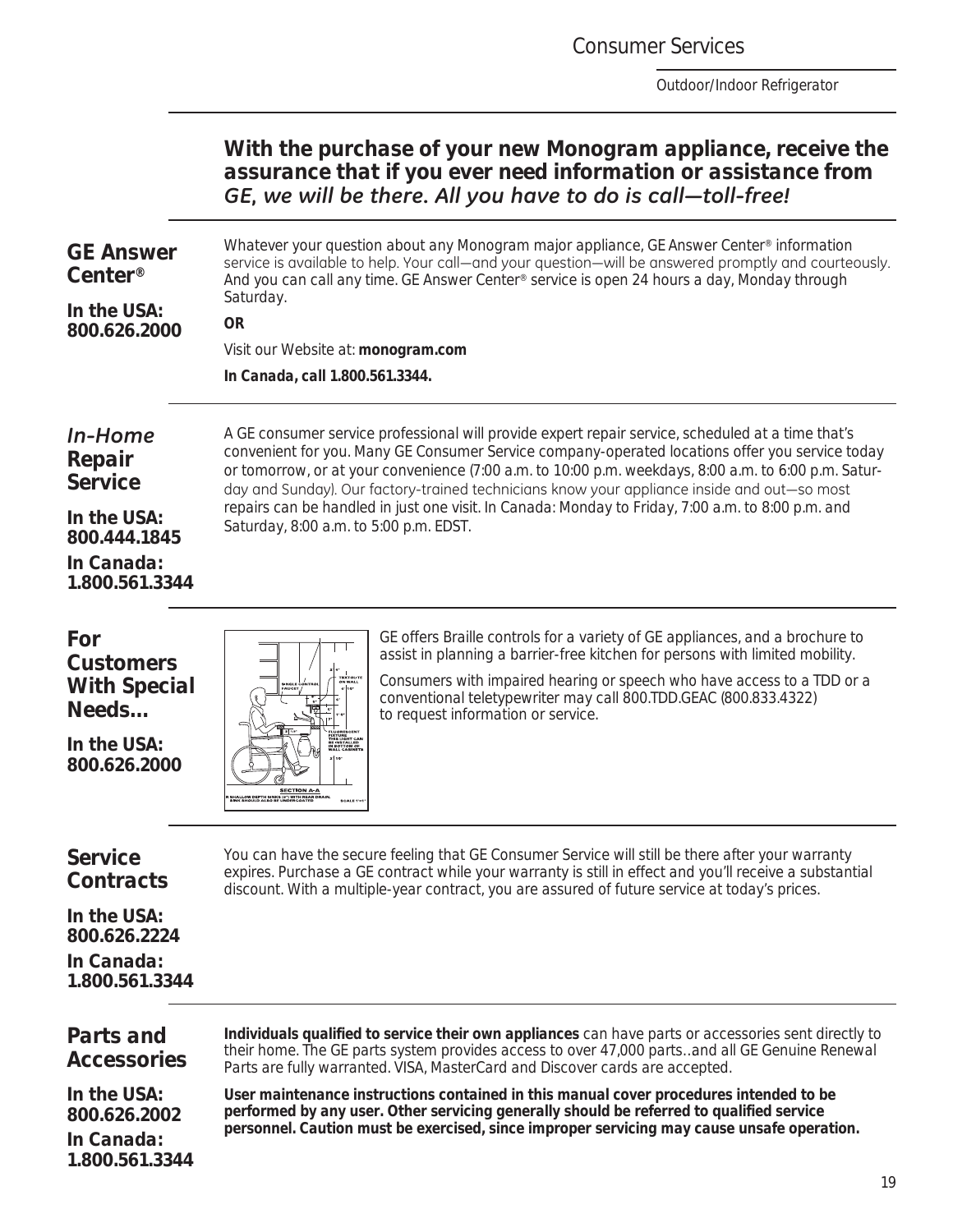Consumer Services

*Outdoor/Indoor Refrigerator*

### *With the purchase of your new Monogram appliance, receive the assurance that if you ever need information or assistance from*  GE, we will be there. All you have to do is call-toll-free!

### *GE Answer Center®*

Whatever your question about any Monogram major appliance, GE Answer Center® information service is available to help. Your call—and your question—will be answered promptly and courteously. And you can call any time. GE Answer Center® service is open 24 hours a day, Monday through Saturday.

*In the USA: 800.626.2000*

### **OR**

Visit our Website at: **monogram.com** *In Canada, call 1.800.561.3344.*

### *In-Home Repair Service*

*In the USA: 800.444.1845 In Canada: 1.800.561.3344* A GE consumer service professional will provide expert repair service, scheduled at a time that's convenient for you. Many GE Consumer Service company- operated locations offer you service today or tomorrow, or at your convenience (7:00 a.m. to 10:00 p.m. weekdays, 8:00 a.m. to 6:00 p.m. Saturday and Sunday). Our factory-trained technicians know your appliance inside and out—so most repairs can be handled in just one visit. In Canada: Monday to Friday, 7:00 a.m. to 8:00 p.m. and Saturday, 8:00 a.m. to 5:00 p.m. EDST.

*For Customers With Special Needs…*

*In the USA: 800.626.2000*



GE offers Braille controls for a variety of GE appliances, and a brochure to assist in planning a barrier-free kitchen for persons with limited mobility.

Consumers with impaired hearing or speech who have access to a TDD or a conventional teletypewriter may call 800.TDD.GEAC (800.833.4322) to request information or service.

### *Service Contracts*

You can have the secure feeling that GE Consumer Service will still be there after your warranty expires. Purchase a GE contract while your warranty is still in effect and you'll receive a substantial discount. With a multiple -year contract, you are assured of future service at today's prices.

*In the USA: 800.626.2224 In Canada: 1.800.561.3344*

### *Parts and Accessories*

**Individuals qualified to service their own appliances** can have parts or accessories sent directly to their home. The GE parts system provides access to over 47,000 parts…and all GE Genuine Renewal Parts are fully warranted. VISA, MasterCard and Discover cards are accepted.

*In the USA: 800.626.2002*

*In Canada: 1.800.561.3344* **User maintenance instructions contained in this manual cover procedures intended to be performed by any user. Other servicing generally should be referred to qualified service** 

**personnel. Caution must be exercised, since improper servicing may cause unsafe operation.**